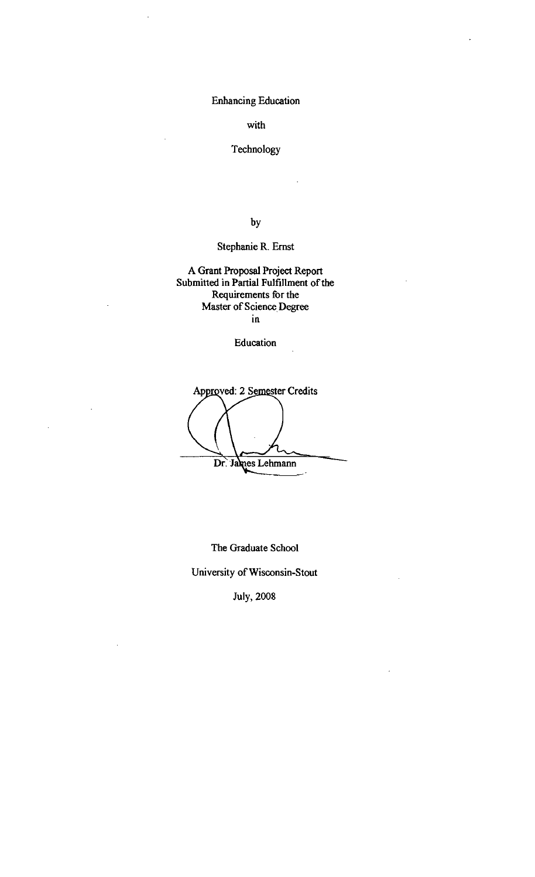Enhancing Education

with

# Technology

by

# Stephanie R. Ernst

A Grant Proposal Project Report Submitted in Partial Fulfillment of the Requirements for the Master of Science Degree In

### Education

Approved: 2 Semester Credits Dr. James Lehmann

The Graduate School University of Wisconsin-Stout

July, 2008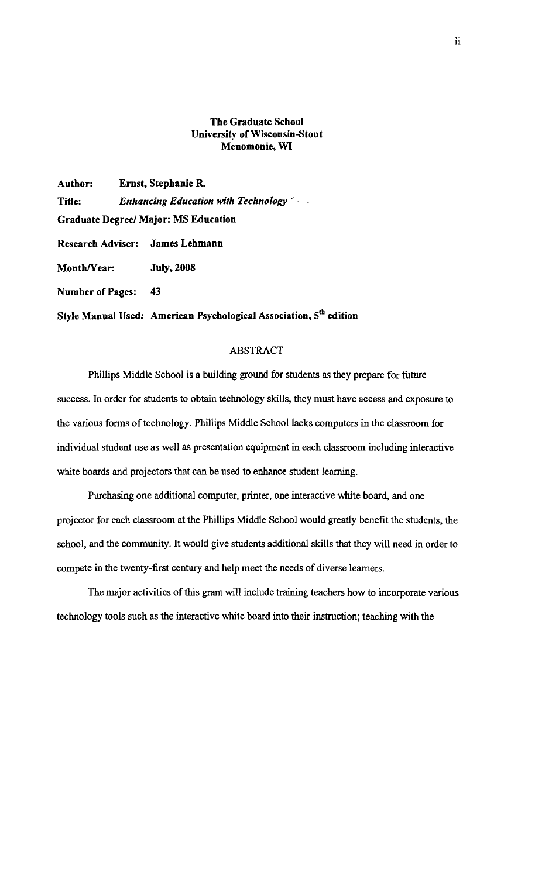### The Graduate School University of Wisconsin-Stout Menomonie, WI

Author: Ernst, Stephanie R. Title: *Enhancing Education with Technology* .' . Graduate Degreel Major: MS Education Research Adviser: James Lehmann Month/Year: July, 2008 Number of Pages: 43

Style Manual Used: American Psychological Association,  $5<sup>th</sup>$  edition

### ABSTRACT

Phillips Middle School is a building ground for students as they prepare for future success. In order for students to obtain technology skills, they must have access and exposure to the various forms of technology. Phillips Middle School lacks computers in the classroom for individual student use as well as presentation equipment in each classroom including interactive white boards and projectors that can be used to enhance student learning.

Purchasing one additional computer, printer, one interactive white board, and one projector for each classroom at the Phillips Middle School would greatly benefit the students, the school, and the community. It would give students additional skills that they will need in order to compete in the twenty-first century and help meet the needs of diverse learners.

The major activities of this grant will include training teachers how to incorporate various technology tools such as the interactive white board into their instruction; teaching with the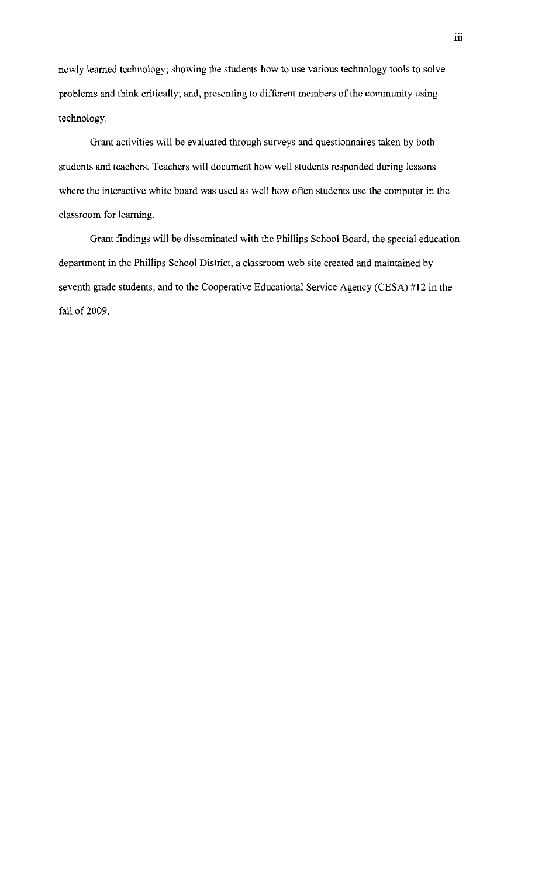newly learned technology; showing the students how to use various technology tools to solve problems and think critically; and, presenting to different members of the community using technology.

Grant activities will be evaluated through surveys and questionnaires taken by both students and teachers. Teachers will document how well students responded during lessons where the interactive white board was used as well how often students use the computer in the classroom for learning.

Grant findings will be disseminated with the Phillips School Board, the special education department in the Phillips School District, a classroom web site created and maintained by seventh grade students, and to the Cooperative Educational Service Agency (CESA) #12 in the fall of 2009.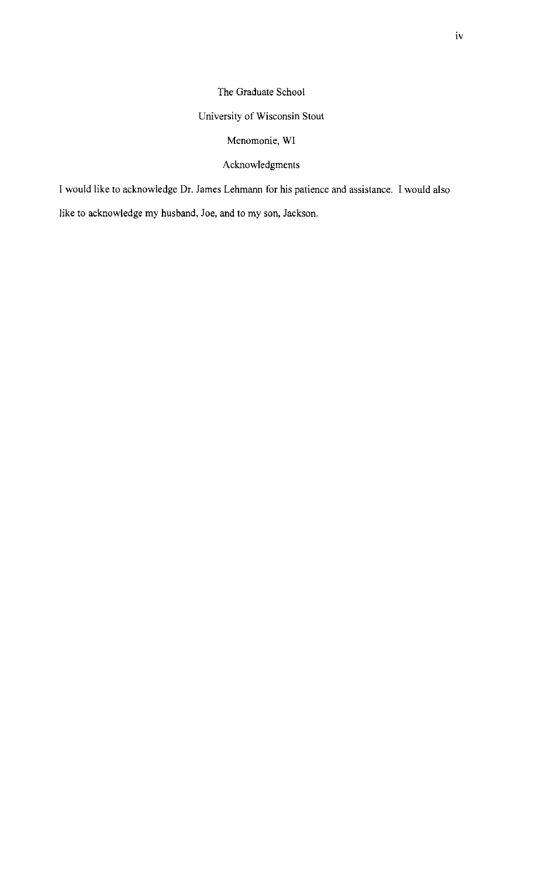# The Graduate School

# University of Wisconsin Stout

# Menomonie, WI

# Acknowledgments

I would like to acknowledge Dr. James Lehmann for his patience and assistance. I would also

like to acknowledge my husband, Joe, and to my son, Jackson.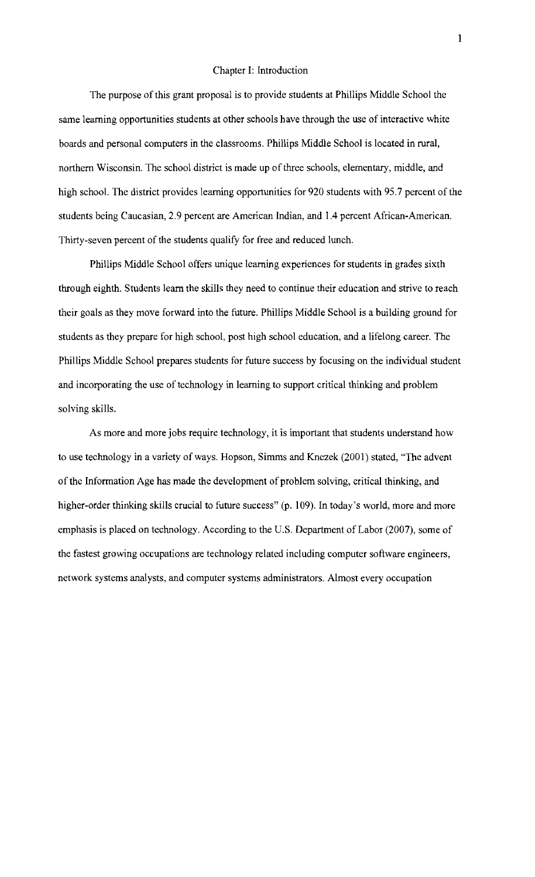#### Chapter I: Introduction

The purpose of this grant proposal is to provide students at Phillips Middle School the same learning opportunities students at other schools have through the use of interactive white boards and personal computers in the classrooms. Phillips Middle School is located in rural, northern Wisconsin. The school district is made up of three schools, elementary, middle, and high school. The district provides learning opportunities for 920 students with 95.7 percent of the students being Caucasian, 2.9 percent are American Indian, and 1.4 percent African-American. Thirty-seven percent of the students qualify for free and reduced lunch.

Phillips Middle School offers unique learning experiences for students in grades sixth through eighth. Students learn the skills they need to continue their education and strive to reach their goals as they move forward into the future. Phillips Middle School is a building ground for students as they prepare for high school, post high school education, and a lifelong career. The Phillips Middle School prepares students for future success by focusing on the individual student and incorporating the use of technology in learning to support critical thinking and problem solving skills.

As more and more jobs require technology, it is important that students understand how to use technology in a variety of ways. Hopson, Simms and Knezek (2001) stated, "The advent of the Information Age has made the development of problem solving, critical thinking, and higher-order thinking skills crucial to future success" (p. 109). In today's world, more and more emphasis is placed on technology. According to the U.S. Department of Labor (2007), some of the fastest growing occupations are technology related including computer software engineers, network systems analysts, and computer systems administrators. Almost every occupation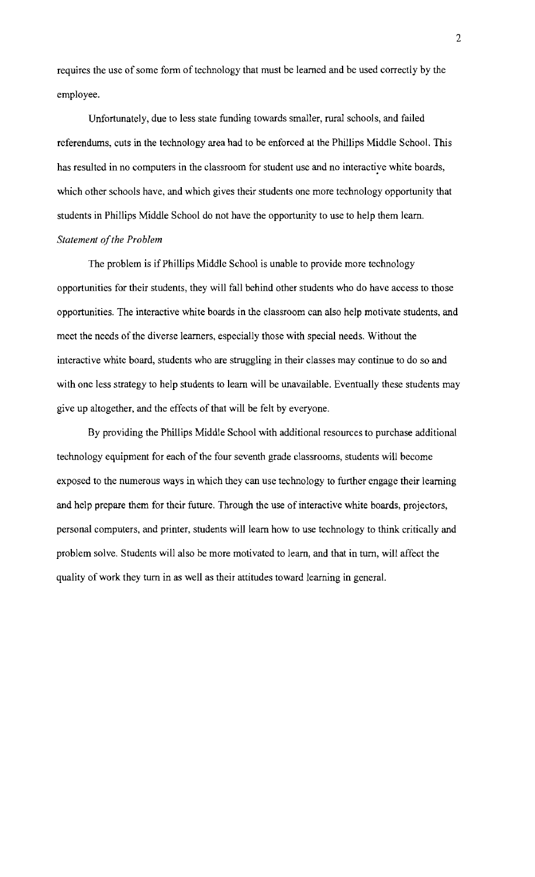requires the use of some form of technology that must be learned and be used correctly by the employee.

Unfortunately, due to less state funding towards smaller, rural schools, and failed referendums, cuts in the technology area had to be enforced at the Phillips Middle School. This has resulted in no computers in the classroom for student use and no interactive white boards, which other schools have, and which gives their students one more technology opportunity that students in Phillips Middle School do not have the opportunity to use to help them learn. **Statement of the Problem** 

The problem is if Phillips Middle School is unable to provide more technology opportunities for their students, they will fall behind other students who do have access to those opportunities. The interactive white boards in the classroom can also help motivate students, and meet the needs of the diverse learners, especially those with special needs. Without the interactive white board, students who are struggling in their classes may continue to do so and with one less strategy to help students to learn will be unavailable. Eventually these students may give up altogether, and the effects of that will be felt by everyone.

By providing the Phillips Middle School with additional resources to purchase additional technology equipment for each of the four seventh grade classrooms, students will become exposed to the numerous ways in which they can use technology to further engage their learning and help prepare them for their future. Through the use of interactive white boards, projectors, personal computers, and printer, students will learn how to use technology to think critically and problem solve. Students will also be more motivated to learn, and that in turn, will affect the quality of work they turn in as well as their attitudes toward learning in general.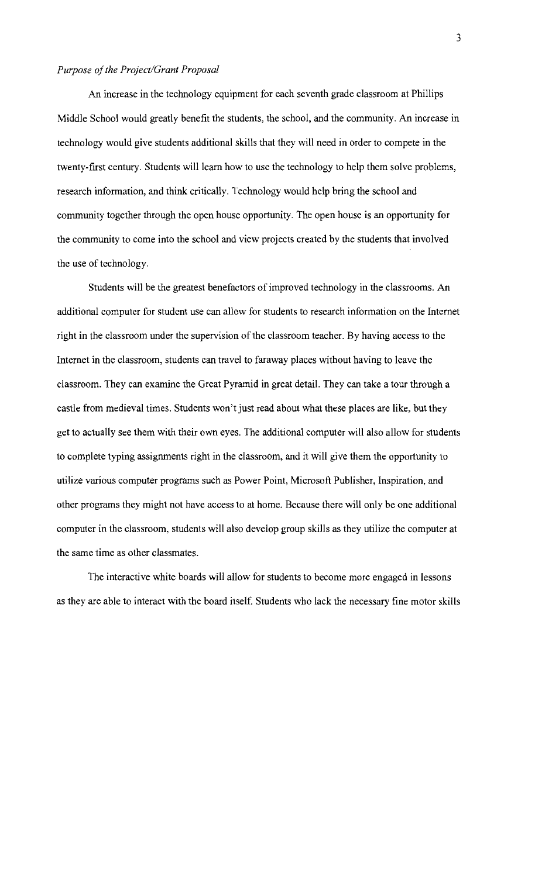#### *Purpose ofthe Project/Grant Proposal*

An increase in the technology equipment for each seventh grade classroom at Phillips Middle School would greatly benefit the students, the school, and the community. An increase in technology would give students additional skills that they will need in order to compete in the twenty-first century. Students will learn how to use the technology to help them solve problems, research information, and think critically. Technology would help bring the school and community together through the open house opportunity. The open house is an opportunity for the community to come into the school and view projects created by the students that involved the use of technology.

Students will be the greatest benefactors of improved technology in the classrooms. An additional computer for student use can allow for students to research information on the Internet right in the classroom under the supervision of the classroom teacher. By having access to the Internet in the classroom, students can travel to faraway places without having to leave the classroom. They can examine the Great Pyramid in great detail. They can take a tour through a castle from medieval times. Students won't just read about what these places are like, but they get to actually see them with their own eyes. The additional computer will also allow for students to complete typing assignments right in the classroom, and it will give them the opportunity to utilize various computer programs such as Power Point, Microsoft Publisher, Inspiration, and other programs they might not have access to at home. Because there will only be one additional computer in the classroom, students will also develop group skills as they utilize the computer at the same time as other classmates.

The interactive white boards will allow for students to become more engaged in lessons as they are able to interact with the board itself. Students who lack the necessary fine motor skills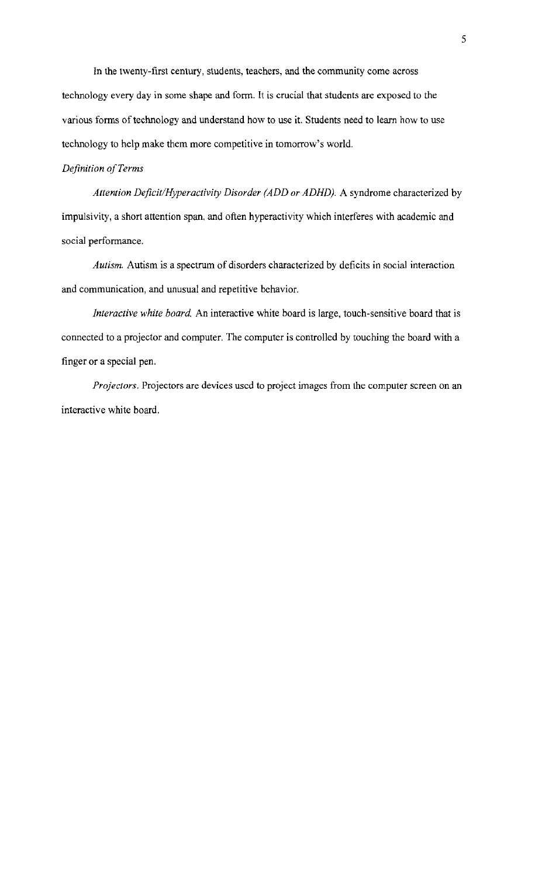In the twenty-first century, students, teachers, and the community come across technology every day in some shape and form. It is crucial that students are exposed to the various forms of technology and understand how to use it. Students need to learn how to use technology to help make them more competitive in tomorrow's world.

### *Definition ofTerms*

*Attention Deficit/Hyperactivity Disorder (ADD or ADHD).* A syndrome characterized by impulsivity, a short attention span, and often hyperactivity which interferes with academic and social performance.

*Autism.* Autism is a spectrum of disorders characterized by deficits in social interaction and communication, and unusual and repetitive behavior.

*Interactive white board* An interactive white board is large, touch-sensitive board that is connected to a projector and computer. The computer is controlled by touching the board with a finger or a special pen.

*Projectors.* Projectors are devices uscd to project images from the computer screen on an interactive white board.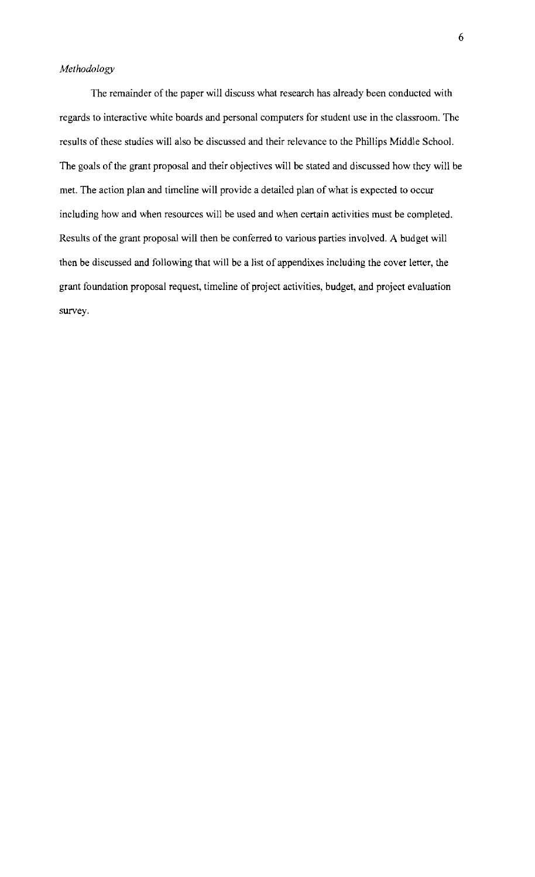### *Methodology*

The remainder of the paper will discuss what research has already been conducted with regards to interactive white boards and personal computers for student use in the classroom. The results of these studies will also be discussed and their relevance to the Phillips Middle School. The goals of the grant proposal and their objectives will be stated and discussed how they will be met. The action plan and timeline will provide a detailed plan of what is expected to occur including how and when resources will be used and when certain activities must be completed. Results of the grant proposal will then be conferred to various parties involved. A budget will then be discussed and following that will be a list of appendixes including the cover letter, the grant foundation proposal request, timeline of project activities, budget, and project evaluation survey.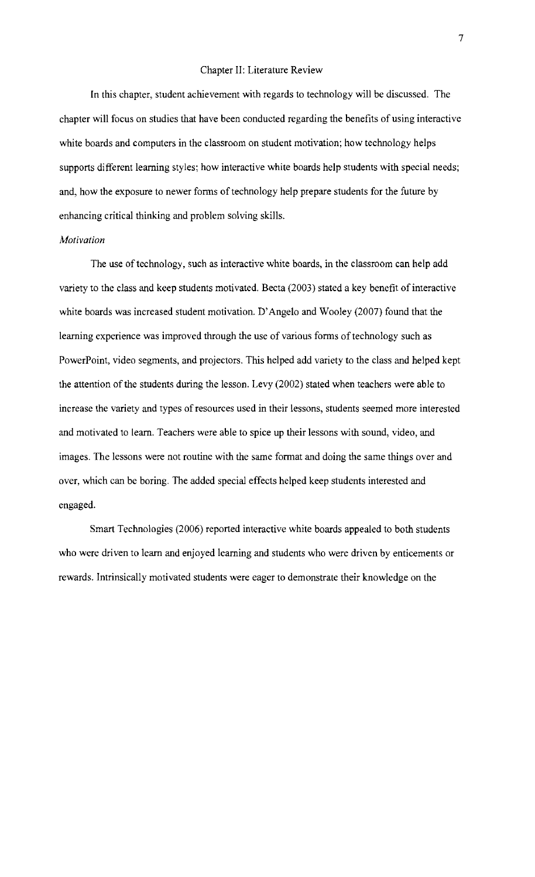#### Chapter II: Literature Review

In this chapter, student achievement with regards to technology will be discussed. The chapter will focus on studies that have been conducted regarding the benefits of using interactive white boards and computers in the classroom on student motivation; how technology helps supports different learning styles; how interactive white boards help students with special needs; and, how the exposure to newer forms of technology help prepare students for the future by enhancing critical thinking and problem solving skills.

#### *Motivation*

The use of technology, such as interactive white boards, in the classroom can help add variety to the class and keep students motivated. Becta (2003) stated a key benefit of interactive white boards was increased student motivation. D'Angelo and Wooley (2007) found that the learning experience was improved through the use of various forms of technology such as PowerPoint, video segments, and projectors. This helped add variety to the class and helped kept the attention of the students during the lesson. Levy (2002) stated when teachers were able to increase the variety and types of resources used in their lessons, students seemed more interested and motivated to learn. Teachers were able to spice up their lessons with sound, video, and images. The lessons were not routine with the same format and doing the same things over and over, which can be boring. The added special effects helped keep students interested and engaged.

Smart Technologies (2006) reported interactive white boards appealed to both students who were driven to learn and enjoyed learning and students who were driven by enticements or rewards. Intrinsically motivated students were eager to demonstrate their knowledge on the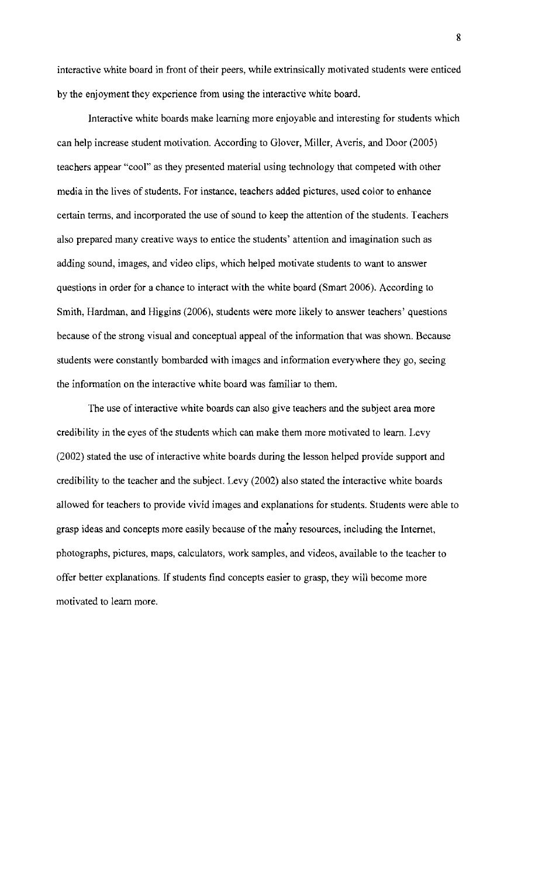interactive white board in front of their peers, while extrinsically motivated students were enticed by the enjoyment they experience from using the interactive white board.

Interactive white boards make learning more enjoyable and interesting for students which can help increase student motivation. According to Glover, Miller, Averis, and Door (2005) teachers appear "cool" as they presented material using technology that competed with other media in the lives of students. For instance, teachers added pictures, used color to enhance certain terms, and incorporated the use of sound to keep the attention of the students. Teachers also prepared many creative ways to entice the students' attention and imagination such as adding sound, images, and video clips, which helped motivate students to want to answer questions in order for a chance to interact with the white board (Smart 2006). According to Smith, Hardman, and Higgins (2006), students were more likely to answer teachers' questions because of the strong visual and conceptual appeal of the information that was shown. Because students were constantly bombarded with images and information everywhere they go, seeing the information on the interactive white board was familiar to them.

The use of interactive white boards can also give teachers and the subject area more credibility in the eyes of the students which can make them more motivated to learn. Levy (2002) stated the use of interactive white boards during the lesson helped provide support and credibility to the teacher and the subject. Levy (2002) also stated the interactive white boards allowed for teachers to provide vivid images and explanations for students. Students were able to grasp ideas and concepts more easily because of the many resources, including the Internet, photographs, pictures, maps, calculators, work samples, and videos, available to the teacher to offer better explanations. If students find concepts easier to grasp, they will become more motivated to learn more.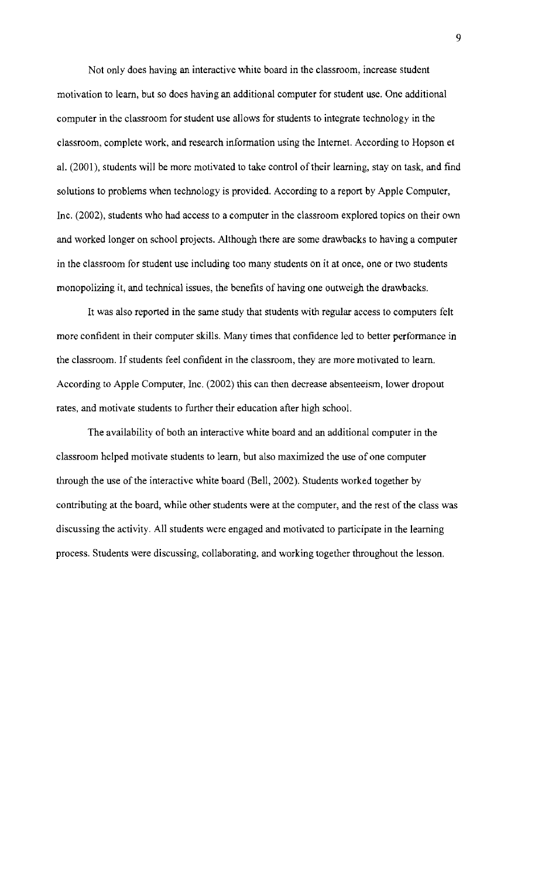Not only does having an interactive white board in the classroom, increase student motivation to learn, but so does having an additional computer for student use. One additional computer in the classroom for student use allows for students to integrate technology in the classroom, complete work, and research information using the Internet. According to Hopson et al. (2001), students will be more motivated to take control of their learning, stay on task, and find solutions to problems when technology is provided. According to a report by Apple Computer, Inc. (2002), students who had access to a computer in the classroom explored topics on their own and worked longer on school projects. Although there are some drawbacks to having a computer in the classroom for student use including too many students on it at once, one or two students monopolizing it, and technical issues, the benefits of having one outweigh the drawbacks.

It was also reported in the same study that students with regular access to computers felt more confident in their computer skills. Many times that confidence led to better performance in the classroom. If students feel confident in the classroom, they are more motivated to learn. According to Apple Computer, Inc. (2002) this can then decrease absenteeism, lower dropout rates, and motivate students to further their education after high school.

The availability of both an interactive white board and an additional computer in the classroom helped motivate students to learn, but also maximized the use of one computer through the use of the interactive white board (Bell, 2002). Students worked together by contributing at the board, while other students were at the computer, and the rest of the class was discussing the activity. All students were engaged and motivated to participate in the learning process. Students were discussing, collaborating, and working together throughout the lesson.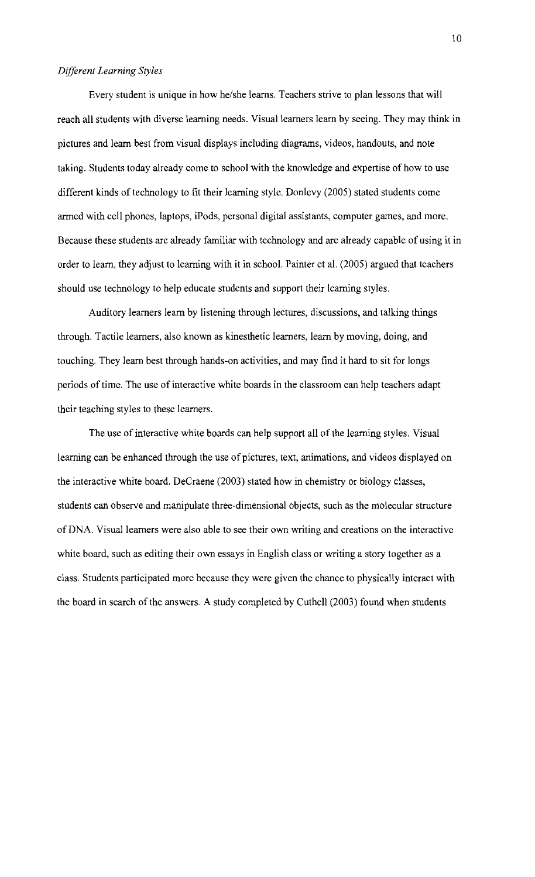### *Different Learning Styles*

Every student is unique in how he/she learns. Teachers strive to plan lessons that will reach all students with diverse learning needs. Visual learners learn by seeing. They may think in pictures and learn best from visual displays including diagrams, videos, handouts, and note taking. Students today already come to school with the knowledge and expertise of how to use different kinds of technology to fit their learning style. Donlevy (2005) stated students come armed with cell phones, laptops, iPods, personal digital assistants, computer games, and more. Because these students are already familiar with technology and are already capable of using it in order to learn, they adjust to learning with it in school. Painter et al. (2005) argued that teachers should use technology to help educate students and support their learning styles.

Auditory learners learn by listening through lectures, discussions, and talking things through. Tactile learners, also known as kinesthetic learners, learn by moving, doing, and touching. They learn best through hands-on activities, and may find it hard to sit for longs periods of time. The use of interactive white boards in the classroom can help teachers adapt their teaching styles to these learners.

The use of interactive white boards can help support all of the learning styles. Visual learning can be enhanced through the use of pictures, text, animations, and videos displayed on the interactive white board. DeCraene (2003) stated how in chemistry or biology classes, students can observe and manipulate three-dimensional objects, such as the molecular structure of DNA. Visual learners were also able to see their own writing and creations on the interactive white board, such as editing their own essays in English class or writing a story together as a class. Students participated more because they were given the chance to physically interact with the board in search of the answers. A study completed by Cuthell (2003) found when students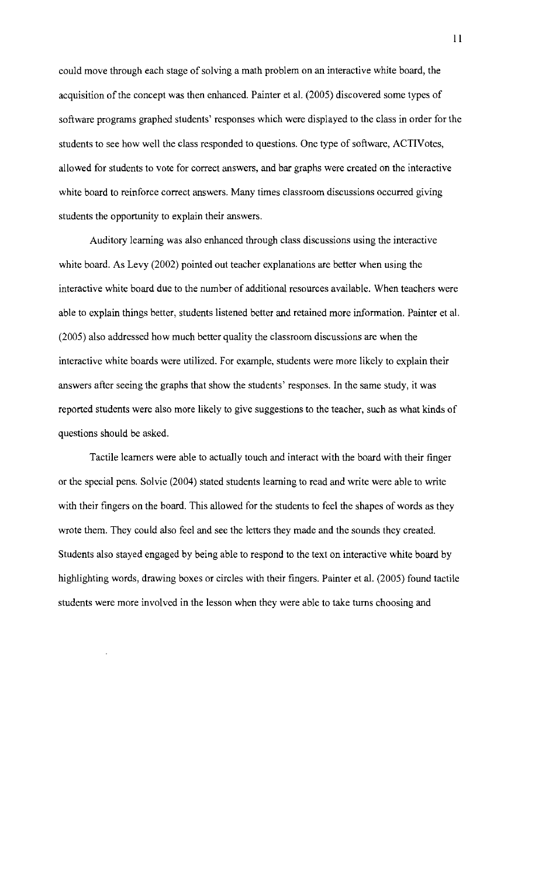could move through each stage of solving a math problem on an interactive white board, the acquisition of the concept was then enhanced. Painter et al. (2005) discovered some types of software programs graphed students' responses which were displayed to the class in order for the students to see how well the class responded to questions. One type of software, ACTIVotes, allowed for students to vote for correct answers, and bar graphs were created on the interactive white board to reinforce correct answers. Many times classroom discussions occurred giving students the opportunity to explain their answers.

Auditory learning was also enhanced through class discussions using the interactive white board. As Levy (2002) pointed out teacher explanations are better when using the interactive white board due to the number of additional resources available. When teachers were able to explain things better, students listened better and retained more information. Painter et al. (2005) also addressed how much better quality the classroom discussions are when the interactive white boards were utilized. For example, students were more likely to explain their answers after seeing the graphs that show the students' responses. In the same study, it was reported students were also more likely to give suggestions to the teacher, such as what kinds of questions should be asked.

Tactile learners were able to actually touch and interact with the board with their finger or the special pens. Solvie (2004) stated students learning to read and write were able to write with their fingers on the board. This allowed for the students to feel the shapes of words as they wrote them. They could also feel and see the letters they made and the sounds they created. Students also stayed engaged by being able to respond to the text on interactive white board by highlighting words, drawing boxes or circles with their fingers. Painter et al. (2005) found tactile students were more involved in the lesson when they were able to take turns choosing and

**II**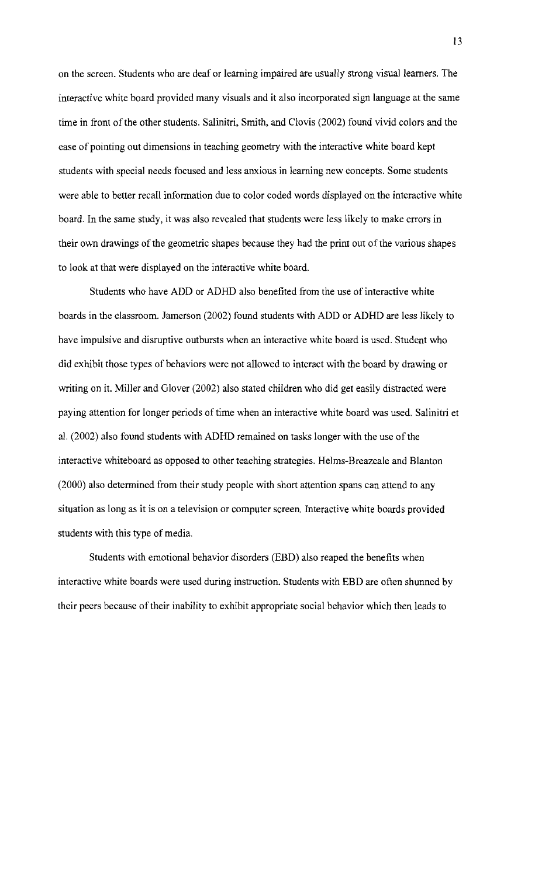on the screen. Students who are deaf or learning impaired are usually strong visual learners. The interactive white board provided many visuals and it also incorporated sign language at the same time in front of the other students. Salinitri, Smith, and Clovis (2002) found vivid colors and the ease of pointing out dimensions in teaching geometry with the interactive white board kept students with special needs focused and less anxious in learning new concepts. Some students were able to better recall information due to color coded words displayed on the interactive white board. In the same study, it was also revealed that students were less likely to make errors in their own drawings of the geometric shapes because they had the print out of the various shapes to look at that were displayed on the interactive white board.

Students who have ADD or ADHD also benefited from the use of interactive white boards in the classroom. Jamerson (2002) found students with ADD or ADHD are less likely to have impulsive and disruptive outbursts when an interactive white board is used. Student who did exhibit those types of behaviors were not allowed to interact with the board by drawing or writing on it. Miller and Glover (2002) also stated children who did get easily distracted were paying attention for longer periods of time when an interactive white board was used. Salinitri et aI. (2002) also found students with ADHD remained on tasks longer with the use of the interactive whiteboard as opposed to other teaching strategies. Helms-Breazeale and Blanton (2000) also determined from their study people with short attention spans can attend to any situation as long as it is on a television or computer screen. Interactive white boards provided students with this type of media.

Students with emotional behavior disorders (EBD) also reaped the benefits when interactive white boards were used during instruction. Students with EBD are often shunned by their peers because of their inability to exhibit appropriate social behavior which then leads to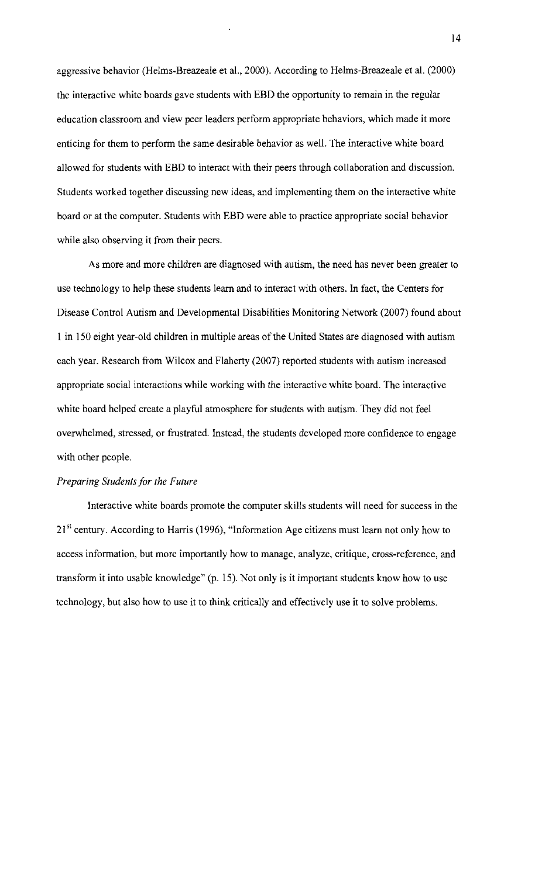aggressive behavior (Helms-Breazeale et aI., 2000). According to Helms-Breazeale et al. (2000) the interactive white boards gave students with EBD the opportunity to remain in the regular education classroom and view peer leaders perform appropriate behaviors, which made it more enticing for them to perform the same desirable behavior as well. The interactive white board allowed for students with EBD to interact with their peers through collaboration and discussion. Students worked together discussing new ideas, and implementing them on the interactive white board or at the computer. Students with EBD were able to practice appropriate social behavior while also observing it from their peers.

As more and more children are diagnosed with autism, the need has never been greater to use technology to help these students learn and to interact with others. In fact, the Centers for Disease Control Autism and Developmental Disabilities Monitoring Network (2007) found about 1 in 150 eight year-old children in multiple areas of the United States are diagnosed with autism each year. Research from Wilcox and Flaherty (2007) reported students with autism increased appropriate social interactions while working with the interactive white board. The interactive white board helped create a playful atmosphere for students with autism. They did not feel overwhelmed, stressed, or frustrated. Instead, the students developed more contidence to engage with other people.

### *Preparing Students for the Future*

Interactive white boards promote the computer skills students will need for success in the  $21<sup>st</sup>$  century. According to Harris (1996), "Information Age citizens must learn not only how to access information, but more importantly how to manage, analyze, critique, cross-reference, and transform it into usable knowledge" (p. 15). Not only is it important students know how to use technology, but also how to use it to think critically and effectively use it to solve problems.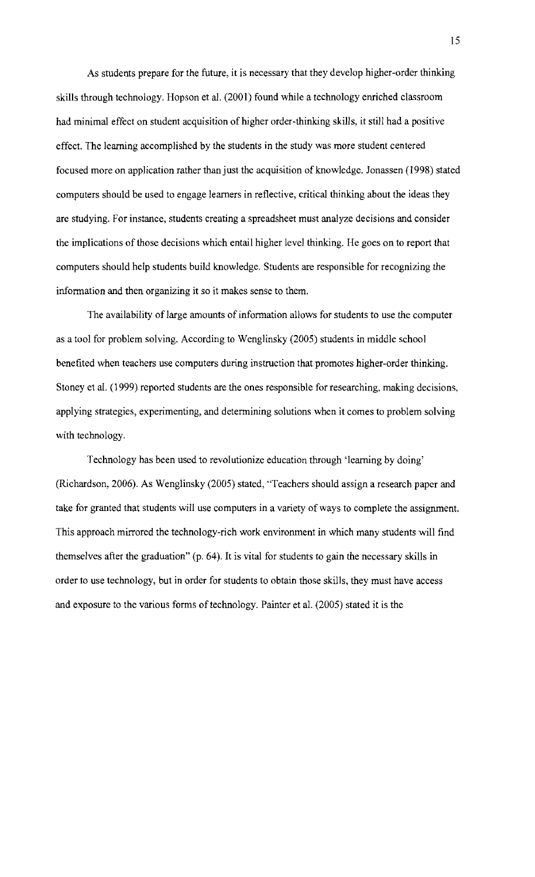As students prepare for the future, it is necessary that they develop higher-order thinking skills through technology. Hopson et al. (2001) found while a technology enriched classroom had minimal effect on student acquisition of higher order-thinking skills, it still had a positive effect. The learning accomplished by the students in the study was more student centered focused more on application rather than just the acquisition of knowledge. Jonassen (1998) stated computers should be used to engage learners in reflective, critical thinking about the ideas they are studying. For instance, students creating a spreadsheet must analyze decisions and consider the implications of those decisions which entail higher level thinking. He goes on to report that computers should help students build knowledge. Students are responsible for recognizing the information and then organizing it so it makes sense to them.

The availability of large amounts of information allows for students to use the computer as a tool for problem solving. According to Wenglinsky (2005) students in middle school benefited when teachers use computers during instruction that promotes higher-order thinking. Stoney et al. (1999) reported students are the ones responsible for researching, making decisions, applying strategies, experimenting, and determining solutions when it comes to problem solving with technology.

Technology has been used to revolutionize education through 'learning by doing' (Richardson, 2006). As Wenglinsky (2005) stated, 'Teachers should assign a research paper and take for granted that students will use computers in a variety of ways to complete the assignment. This approach mirrored the technology-rich work environment in which many students will find themselves after the graduation" (p. 64). It is vital for students to gain the necessary skills in order to use technology, but in order for students to obtain those skills, they must have access and exposure to the various forms of technology. Painter et al. (2005) stated it is the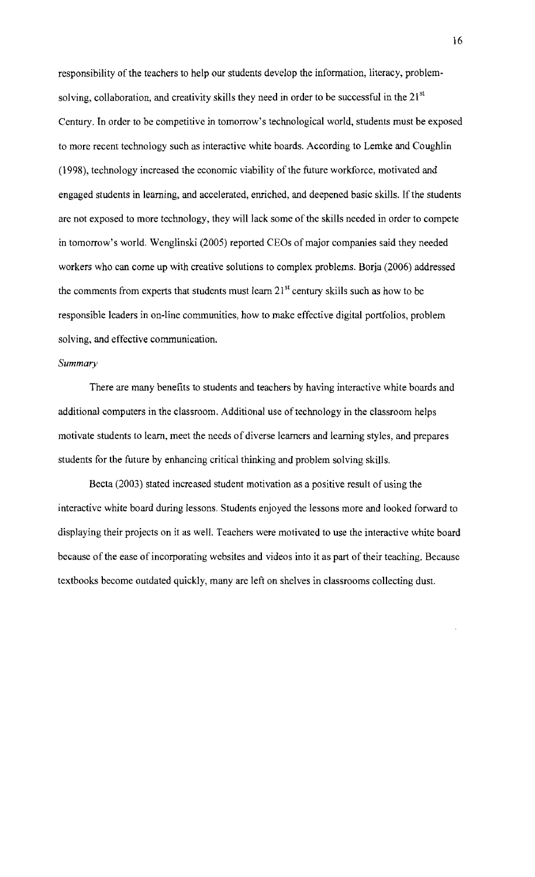responsibility of the teachers to help our students develop the information, literacy, problemsolving, collaboration, and creativity skills they need in order to be successful in the  $21^{st}$ Century. In order to be competitive in tomorrow's technological world, students must be exposed to more recent technology such as interactive white boards. According to Lemke and Coughlin (1998), technology increased the economic viability of the future workforce, motivated and engaged students in learning, and accelerated, enriched, and deepened basic skills. If the students are not exposed to more technology, they will lack some of the skills needed in order to compete in tomorrow's world. Wenglinski (2005) reported CEOs of major companies said they needed workers who can come up with creative solutions to complex problems. Borja (2006) addressed the comments from experts that students must learn  $21^{st}$  century skills such as how to be responsible leaders in on-line communities, how to make effective digital portfolios, problem solving, and effective communication.

#### *Summary*

There are many benefits to students and teachers by having interactive white boards and additional computers in the classroom. Additional use of technology in the classroom helps motivate students to learn, meet the needs of diverse learners and learning styles, and prepares students for the future by enhancing critical thinking and problem solving skills.

Becta (2003) stated increased student motivation as a positive result of using the interactive white board during lessons. Students enjoyed the lessons more and looked forward to displaying their projects on it as well. Teachers were motivated to use the interactive white board because of the ease of incorporating websites and videos into it as part of their teaching. Because textbooks become outdated quickly, many are left on shelves in classrooms collecting dust.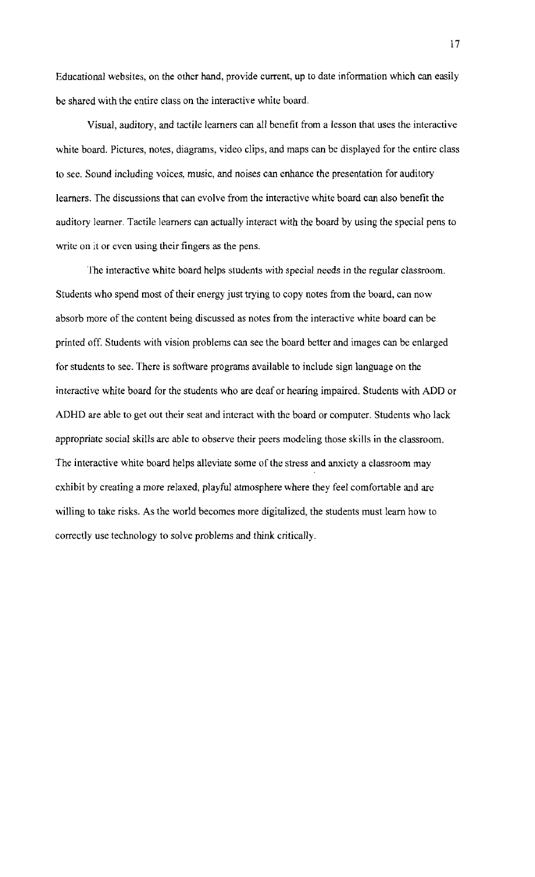Educational websites, on the other hand, provide current, up to date information which can easily be shared with the entire class on the interactive white board.

Visual, auditory, and tactile learners can all benefit from a lesson that uses the interactive white board. Pictures, notes, diagrams, video clips, and maps can be displayed for the entire class to see. Sound including voices, music, and noises can enhance the presentation for auditory learners. The discussions that can evolve from the interactive white board can also benefit the auditory learner. Tactile learners can actually interact with the board by using the special pens to write on it or even using their fingers as the pens.

The interactive white board helps students with special needs in the *regular* classroom. Students who spend most of their energy just trying to copy notes from the board, can now absorb more of the content being discussed as notes from the interactive white board can be printed off. Students with vision problems can see the board better and images can be enlarged for students to see. There is software programs available to include sign language on the interactive white board for the students who are deaf or hearing impaired. Students with ADD or ADHD are able to get out their seat and interact with the board or computer. Students who lack appropriate social skills are able to observe their peers modeling those skills in the classroom. The interactive white board helps alleviate some of the stress and anxiety a classroom may exhibit by creating a more relaxed, playful atmosphere where they feel comfortable and are willing to take risks. As the world becomes more digitalized, the students must learn how to correctly use technology to solve problems and think critically.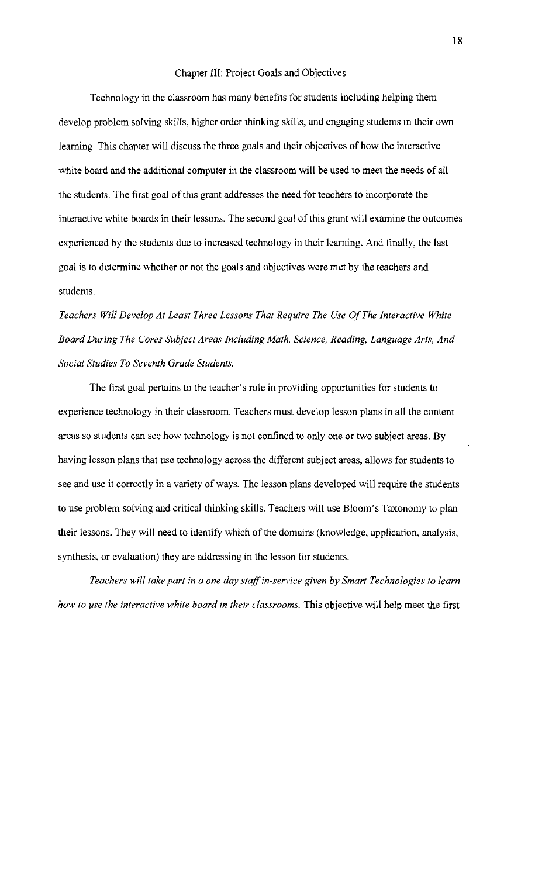### Chapter 1ll: Project Goals and Objectives

Technology in the classroom has many benefits for students including helping them develop problem solving skills, higher order thinking skills, and engaging students in their own learning. This chapter will discuss the three goals and their objectives of how the interactive white board and the additional computer in the classroom will be used to meet the needs of all the students. The first goal of this grant addresses the need for teachers to incorporate the interactive white boards in their lessons. The second goal of this grant will examine the outcomes experienced by the students due to increased technology in their learning. And finally, the last goal is to determine whether or not the goals and objectives were met by the teachers and students.

*Teachers Will Develop At Least Three Lessons That Require The Use OfThe Interactive White Board During The Cores Subject Areas Including Math, Science, Reading, Language Arts, And Social Studies To Seventh Grade Students.* 

The first goal pertains to the teacher's role in providing opportunities for students to experience technology in their classroom. Teachers must develop lesson plans in all the content areas so students can see how technology is not confined to only one or two subject areas. By having lesson plans that use technology across the different subject areas, allows for students to see and use it correctly in a variety of ways. The lesson plans developed will require the students to use problem solving and critical thinking skills. Teachers will use Bloom's Taxonomy to plan their lessons. They will need to identify which of the domains (knowledge, application, analysis, synthesis, or evaluation) they are addressing in the lesson for students.

*Teachers will take part in a one day staffin-service given by Smart Technologies to learn how to use the interactive white board in their classrooms.* This objective will help meet the first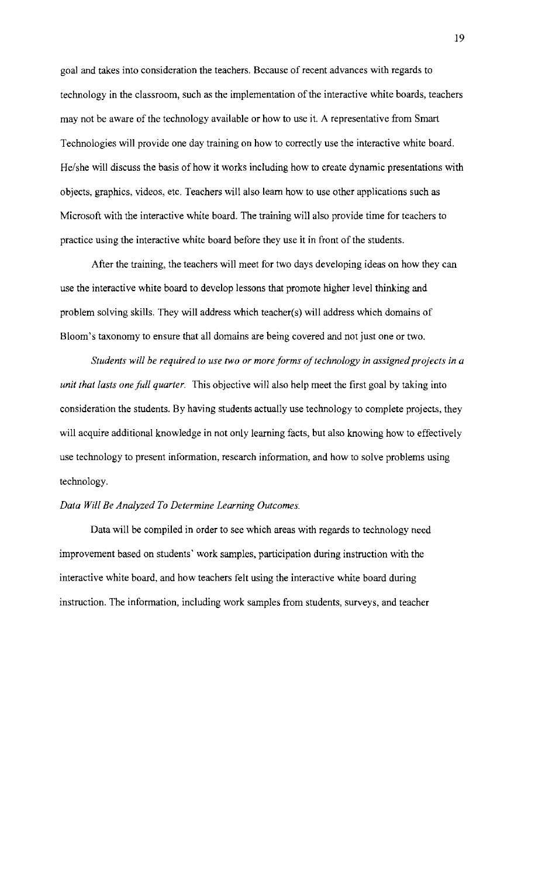goal and takes into consideration the teachers. Because of recent advances with regards to technology in the classroom, such as the implementation of the interactive white boards, teachers may not be aware of the technology available or how to use it. A representative from Smart Technologies will provide one day training on how to correctly use the interactive white board. He/she will discuss the basis of how it works including how to create dynamic presentations with objects, graphics, videos, etc. Teachers will also learn how to use other applications such as Microsoft with the interactive white board. The training will also provide time for teachers to practice using the interactive white board before they use it in front of the students.

After the training, the teachers will meet for two days developing ideas on how they can use the interactive white board to develop lessons that promote higher level thinking and problem solving skills. They will address which teacher(s) will address which domains of Bloom's taxonomy to ensure that all domains are being covered and not just one or two.

*Students* will be required to use two or more forms of technology in assigned projects in a *unit that lasts one full quarter.* This objective will also help meet the first goal by taking into consideration the students. By having students actually use technology to complete projects, they will acquire additional knowledge in not only learning facts, but also knowing how to effectively use technology to present information, research information, and how to solve problems using technology.

#### *Data Will Be Analyzed To Determine Learning Outcomes.*

Data will be compiled in order to see which areas with regards to technology need improvement based on students' work samples, participation during instruction with the interactive white board, and how teachers felt using the interactive white board during instruction. The information, including work samples from students, surveys, and teacher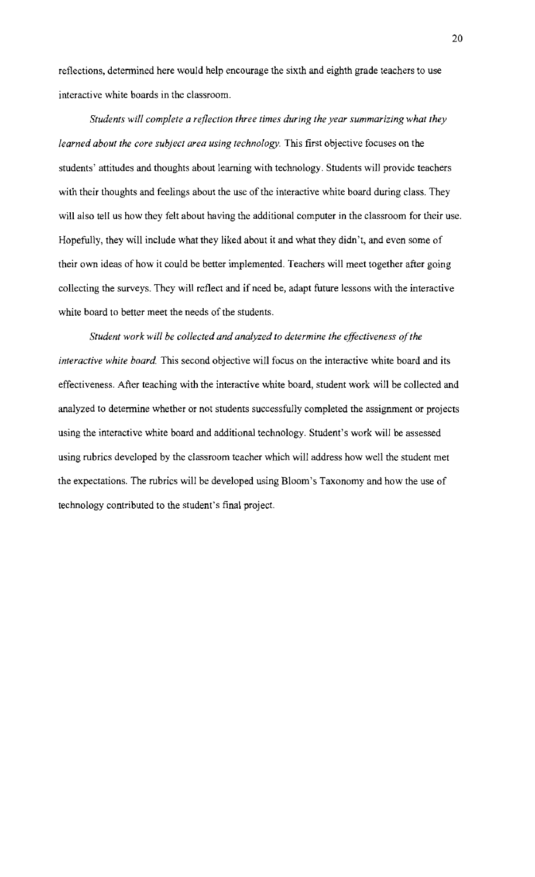reflections, determined here would help encourage the sixth and eighth grade teachers to use interactive white boards in the classroom.

*Students will complete a reflection three times during the year summarizing what they learned about the core subject area using technology.* This first objective focuses on the students' attitudes and thoughts about learning with technology. Students will provide teachers with their thoughts and feelings about the use of the interactive white board during class. They will also tell us how they felt about having the additional computer in the classroom for their usc. Hopefully, they will include what they liked about it and what they didn't, and even some of their own ideas of how it could be better implemented. Teachers will meet together after going collccting the surveys. They will reflect and if need be, adapt future lessons with the interactive white board to better meet the needs of the students.

*Student work will be collected and analyzed to determine the effectiveness ofthe interactive white board*. This second objective will focus on the interactive white board and its effectiveness. After teaching with the interactive white board, student work will be collected and analyzed to determine whether or not students successfully completed the assignment or projects using the interactive white board and additional technology. Student's work will be assessed using rubrics developed by the classroom teacher which will address how well the student met the expectations. The rubrics will be developed using Bloom's Taxonomy and how the use of technology contributed to the student's final project.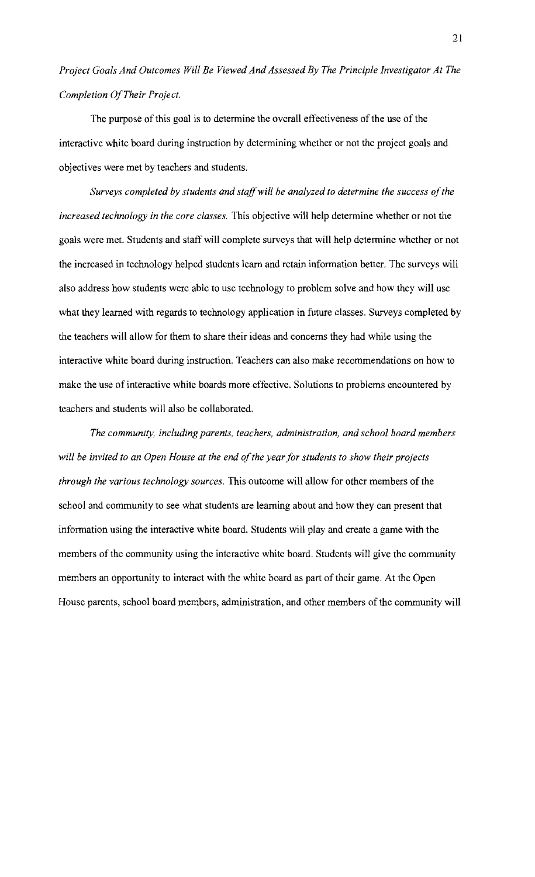*Project Goals And Outcomes Will Be Viewed And Assessed By The Principle Investigator At The Completion OfTheir Project.* 

The purpose of this goal is to determine the overall effectiveness of the use of the interactive white board during instruction by determining whether or not the project goals and objectives were met by teachers and students.

Surveys completed by students and staff will be analyzed to determine the success of the *increased technology in the core classes.* This objective will help determine whether or not the goals were met. Students and staff will complete surveys that will help determine whether or not the increased in technology helped students learn and retain information better. The surveys will also address how students were able to use technology to problem solve and how they will use what they learned with regards to technology application in future classes. Surveys completed by the teachers will allow for them to share their ideas and concerns they had while using the interactive white board during instruction. Teachers can also make recommendations on how to make the use of interactive white boards more effective. Solutions to problems encountered by teachers and students will also be collaborated.

*The community, including parents, teachers, administration, and school board members will be invited to an Open House at the end ofthe yearfor students to show their projects through the various technology sources.* This outcome will allow for other members of the school and community to see what students are learning about and how they can present that information using the interactive white board. Students will play and create a game with the members of the community using the interactive white board. Students will give the community members an opportunity to interact with the white board as part of their game. At the Open House parents, school board members, administration, and other members of the community will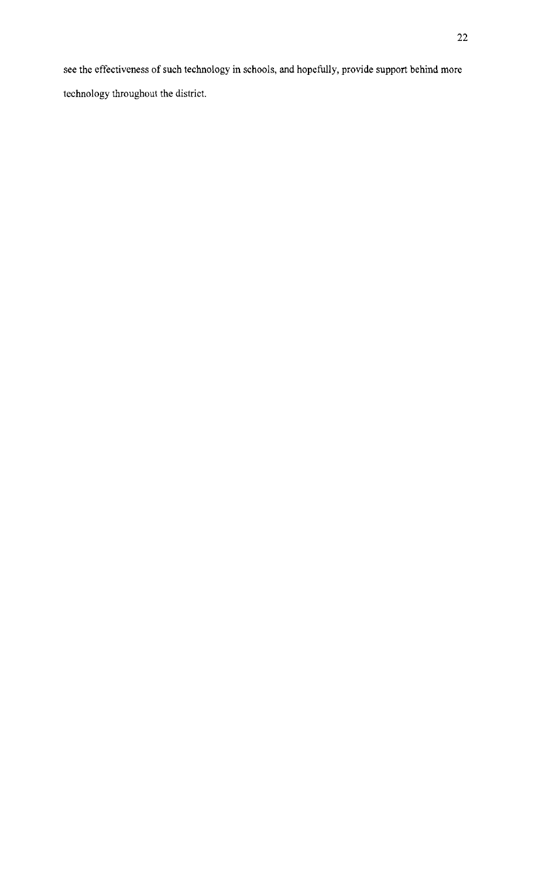see the effectiveness of such technology in schools, and hopefully, provide support behind more technology throughout the district.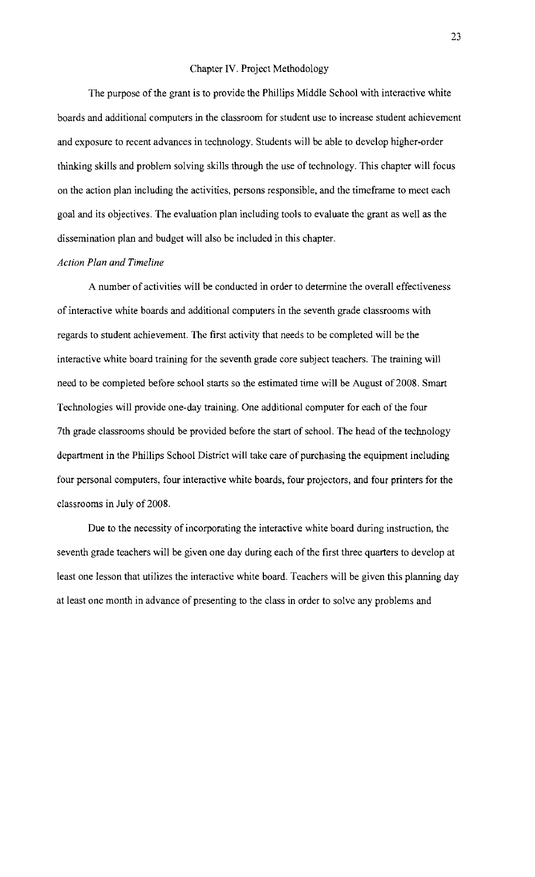### Chapter IV. Project Methodology

The purpose of the grant is to provide the Phillips Middle School with interactive white boards and additional computers in the classroom for student use to increase student achievement and exposure to recent advances in technology. Students will be able to develop higher-order thinking skills and problem solving skills through the use of technology. This chapter will focus on the action plan including the activities, persons responsible, and the timeframe to meet each goal and its objectives. The evaluation plan including tools to evaluate the grant as well as the dissemination plan and budget will also be included in this chapter.

### *Action Plan and Timeline*

A number of activities will be conducted in order to determine the overall effectiveness of interactive white boards and additional computers in the seventh grade classrooms with regards to student achievement. The first activity that needs to be completed will be the interactive white board training for the seventh grade core subject teachers. The training will need to be completed before school starts so the estimated time will be August of 2008. Smart Technologies will provide one-day training. One additional computer for each of the four 7th grade classrooms should be provided before the start of school. The head of the technology department in the Phillips School District will take care of purchasing the equipment including four personal computers, four interactive white boards, four projectors, and four printers for the classrooms in July of 2008.

Due to the necessity of incorporating the interactive white board during instruction, the seventh grade teachers will be given one day during each of the first three quarters to develop at least one lesson that utilizes the interactive white board. Teachers will be given this planning day at least one month in advance of presenting to the class in order to solve any problems and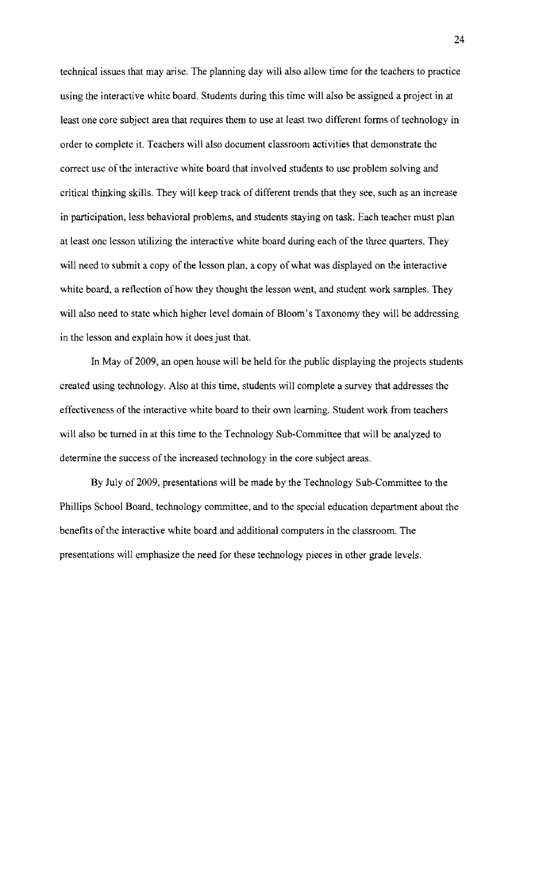technical issues that may arise. The planning day will also allow time for the teachers to practice using the interactive white board. Students during this time will also be assigned a project in at least one core subject area that requires them to use at least two different forms of technology in order to complete it. Teachers will also document classroom activities that demonstrate the correct use of the interactive white board that involved students to use problem solving and critical thinking skills. They will keep track of different trends that they see, such as an increase in participation, less behavioral problems, and students staying on task. Each teacher must plan at least one lesson utilizing the interactive white board during each of the three quarters. They will need to submit a copy of the lesson plan, a copy of what was displayed on the interactive white board, a reflection of how they thought the lesson went, and student work samples. They will also need to state which higher level domain of Bloom's Taxonomy they will be addressing in the lesson and explain how it does just that.

In May of 2009, an open house will be held for the public displaying the projects students created using technology. Also at this time, students will complete a survey that addresses the effectiveness of the interactive white board to their own learning. Student work from teachers will also be turned in at this time to the Technology Sub-Committee that will be analyzed to determine the success of the increased technology in the core subject areas.

By July of 2009, presentations will be made by the Technology Sub-Committee to the Phillips School Board, technology committee, and to the special education department about the benefits of the interactive white board and additional computers in the classroom. The presentations will emphasize the need for these technology pieces in other grade levels.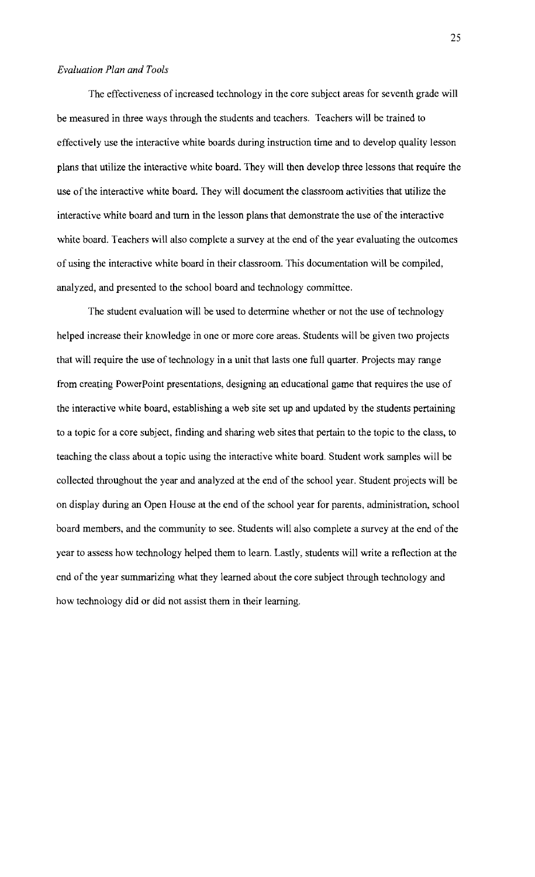### *Evaluation Plan and Tools*

The effectiveness of increased technology in the core subject areas for seventh grade will be measured in three ways through the students and teachers. Teachers will be trained to effectively use the interactive white boards during instruction time and to develop quality lesson plans that utilize the interactive white board. They will then develop three lessons that require the use of the interactive white board. They will document the classroom activities that utilize the interactive white board and turn in the lesson plans that demonstrate the use of the interactive white board. Teachers will also complete a survey at the end of the year evaluating the outcomes of using the interactive white board in their classroom. This documentation will be compiled, analyzed, and presented to the school board and technology committee.

The student evaluation will be used to determine whether or not the use of technology helped increase their knowledge in one or more core areas. Students will be given two projects that will require the use of technology in a unit that lasts one full quarter. Projects may range from creating PowerPoint presentations, designing an educational game that requires the use of the interactive white board, establishing a web site set up and updated by the students pertaining to a topic for a core subject, finding and sharing web sites that pertain to the topic to the class, to teaching the class about a topic using the interactive white board. Student work samples will be collected throughout the year and analyzed at the end of the school year. Student projects will be on display during an Open House at the end of the school year for parents, administration, school board members, and the community to see. Students will also complete a survey at the end of the year to assess how technology helped them to learn. Lastly, students will write a reflection at the end of the year summarizing what they learned about the core subject through technology and how technology did or did not assist them in their learning.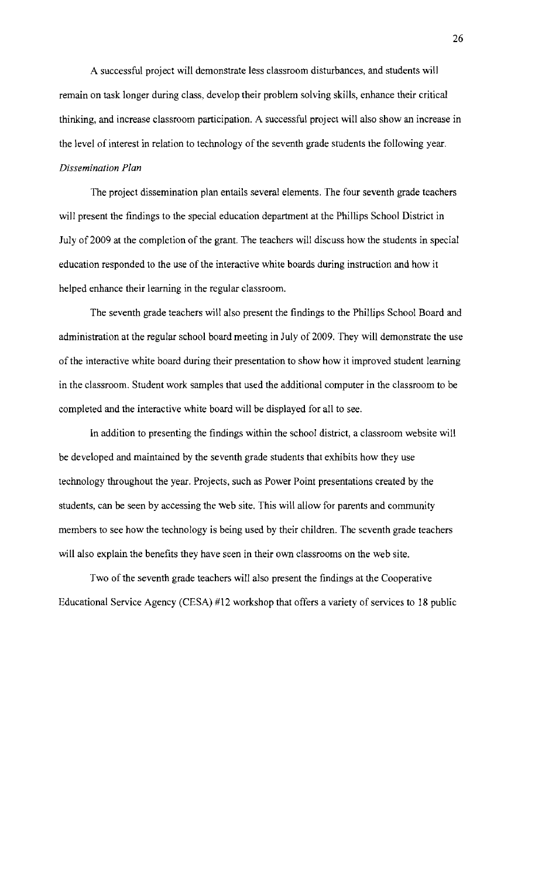A successful project will demonstrate less classroom disturbances, and students will remain on task longer during class, develop their problem solving skills, enhance their critical thinking, and increase classroom participation. A successful project will also show an increase in the level of interest in relation to technology of the seventh grade students the following year. *Dissemination Plan* 

The project dissemination plan entails several elements. The four seventh grade teachers will present the findings to the special education department at the Phillips School District in July of 2009 at the completion of the grant. The teachers will discuss how the students in special education responded to the use of the interactive white boards during instruction and how it helped enhance their learning in the regular classroom.

The seventh grade teachers will also present the findings to the Phillips School Board and administration at the regular school board meeting in July of 2009. They will demonstrate the use of the interactive white board during their presentation to show how it improved student learning in the classroom. Student work samples that used the additional computer in the classroom to be completed and the interactive white board will be displayed for all to see.

In addition to presenting the findings within the school district, a classroom website will be developed and maintained by the seventh grade students that exhibits how they use technology throughout the year. Projects, such as Power Point presentations created by the students, can be seen by accessing the web site. This will allow for parents and community members to see how the technology is being used by their children. The seventh grade teachers will also explain the benefits they have seen in their own classrooms on the web site.

Two of the seventh grade teachers will also present the findings at the Cooperative Educational Service Agency (CESA) #12 workshop that offers a variety of services to 18 public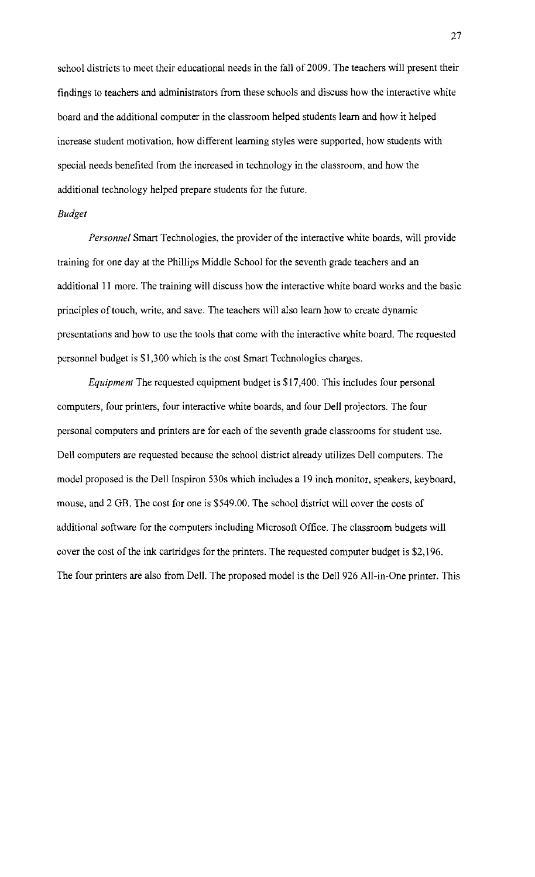school districts to meet their educational needs in the fall of 2009. The teachers will present their findings to teachers and administrators from these schools and discuss how the interactive white board and the additional computer in the classroom helped students learn and how it helped increase student motivation, how different learning styles were supported, how students with special needs benefited from the increased in technology in the classroom, and how the additional technology helped prepare students for the future.

### *Budget*

*Personnel* Smart Technologies, the provider of the interactive white boards, will provide training for one day at the Phillips Middle School for the seventh grade teachers and an additional **II** more. The training will discuss how the interactive white board works and the basic principles of touch, write, and save. The teachers will also learn how to create dynamic presentations and how to use the tools that come with the interactive white board. The requested personnel budget is \$1,300 which is the cost Smart Technologies charges.

*Equipment* The requested equipment budget is \$17,400. This includes four personal computers, four printers, four interactive white boards, and four Dell projectors. The four personal computers and printers are for each of the seventh grade classrooms for student use. Dell computers are requested because the school district already utilizes Dell computers. The model proposed is the Dell Inspiron 530s which includes a 19 inch monitor, speakers, keyboard, mouse, and 2 GB. The cost for one is \$549.00. The school district will cover the costs of additional software for the computers including Microsoft Office. The classroom budgets will cover the cost of the ink cartridges for the printers. The requested computer budget is \$2,196. The four printers are also from Dell. The proposed model is the Dell 926 All-in-One printer. This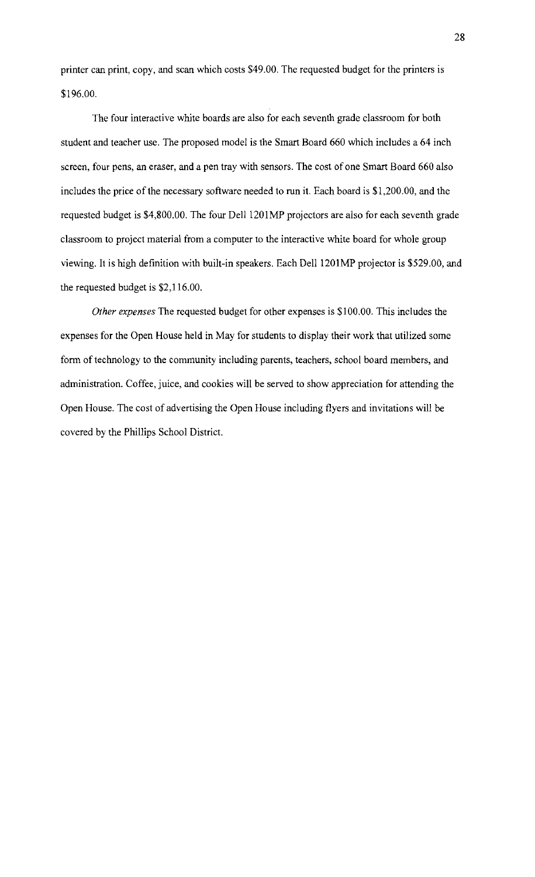printer can print, copy, and scan which costs \$49.00. The requested budget for the printers is \$196.00.

The four interactive white boards are also for each seventh grade classroom for both student and teacher use. The proposed model is the Smart Board 660 which includes a 64 inch screen, four pens, an eraser, and a pen tray with sensors. The cost of one Smart Board 660 also includes the price of the necessary software needed to run it. Each board is \$1,200.00, and the requested budget is \$4,800.00. The four Dell 1201MP projectors are also for each seventh grade classroom to project material from a computer to the interactive white board for whole group viewing. It is high definition with built-in speakers. Each Dell 1201MP projector is \$529.00, and the requested budget is \$2,116.00.

*Other expenses* The requested budget for other expenses is \$100.00. This includes the expenses for the Open House held in May for students to display their work that utilized some form of technology to the community including parents, teachers, school board members, and administration. Coffee, juice, and cookies will be served to show appreciation for attending the Open House. The cost of advertising the Open House including flyers and invitations will be covered by the Phillips School District.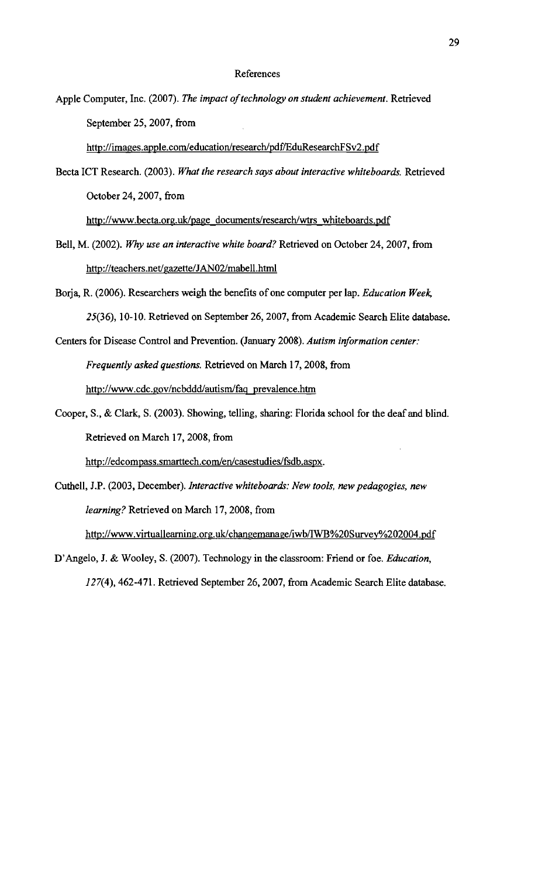#### References

Apple Computer, Inc. (2007). *The impact of technology on student achievement*. Retrieved September 25, 2007, from

http://images.apple.com/education/research/pdf/EduResearchFSv2.pdf

Becta ICT Research. (2003). *What the research says about interactive whiteboards.* Retrieved October 24, 2007, from

http://www.becta.org.uk/page documents/research/wtrs whiteboards.pdf

- Bell, M. (2002). *Why use an interactive white board?* Retrieved on October 24, 2007, from http://teachers.net/gazette/JAN02/mabell.html
- Borja, R. (2006). Researchers weigh the benefits of one computer per lap. *Education Week*, 25(36),10-10. Retrieved on September 26,2007, from Academic Search Elite database.
- Centers for Disease Control and Prevention. (January 2008). *Autism information center: Frequently asked questions.* Retrieved on March 17, 2008, from http://www.cdc.gov/ncbddd/autism/faq prevalence.htm
- Cooper, S., & Clark, S. (2003). Showing, telling, sharing: Florida school for the deaf and blind. Retrieved on March 17, 2008, from

http://edcompass.smarttech.com/en/casestudies/fsdb.aspx.

- Cuthell, J.P. (2003, December). *Interactive whiteboards: New tools, new pedagogies, new learning?* Retrieved on March 17,2008, from http://www.virtuallearning.org.uk/changemanage/iwb/lWB%20Survey%202004.pdf
- D'Angelo, J. & Wooley, S. (2007). Technology in the classroom: Friend or foe. *Education, 127(4),462-471.* Retrieved September 26, 2007, from Academic Search Elite database.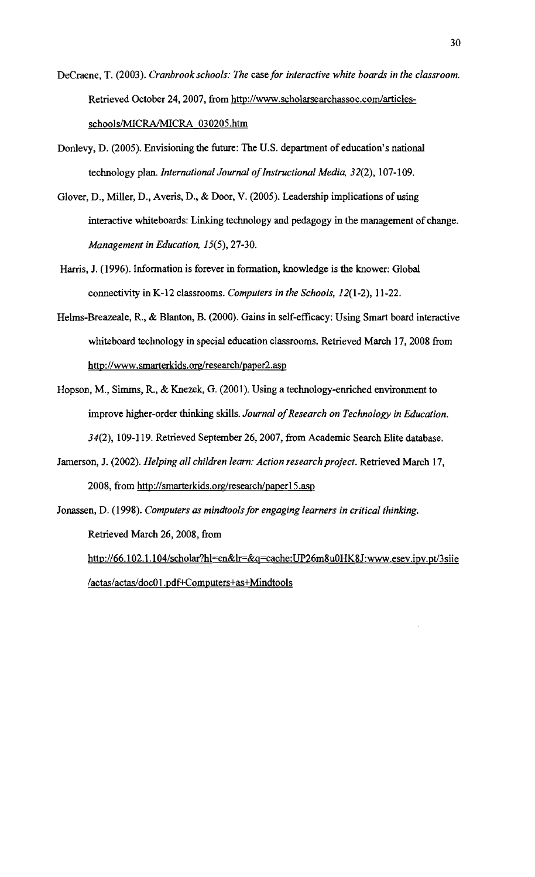- DeCraene, T. (2003). *Cranbrook schools: The* case *for interactive white boards in the classroom.*  Retrieved October 24, 2007, from http://www.scholarsearchassoc.com/articlesschools/MICRA/MICRA 030205.htm
- DonIevy, D. (2005). Envisioning the future: The U.S. department of education's national technology plan. *International Journal of Instructional Media*, 32(2), 107-109.
- Glover, D., Miller, D., Averis, D., & Door, V. (2005). Leadership implications of using interactive whiteboards: Linking technology and pedagogy in the management of change. *Management in Education, 15(5),27-30.*
- Harris, J. (1996). Information is forever in formation, knowledge is the knower: Global connectivity in K-12 classrooms. *Computers in the Schools, 12(1-2), 11-22.*
- Helms-Breazeale, R., & Blanton, B. (2000). Gains in self-efficacy: Using Smart board interactive whiteboard technology in special education classrooms. Retrieved March 17, 2008 from http://www.smarterkids.org/research/paper2.asp
- Hopson, M., Simms, R., & Knezek, G. (2001). Using a technology-enriched environment to improve higher-order thinking skills. Journal of Research on Technology in Education. 34(2), 109-119. Retrieved September 26, 2007, from Academic Search Elite database.
- Jamerson, J. (2002). *Helping all children learn: Action research project.* Retrieved March 17, 2008, from http://smarterkids.org/research/paper15.asp
- Jonassen, D. (1998). *Computers as mindtools for engaging learners in critical thinking.*  Retrieved March 26, 2008, from http://66.102.1.104/scholar?hl=en&lr=&q=cache:UP26m8u0HK8J:www.esev.ipv.pt/3siie

/actas/actas/doc01.pdf+Computers+as+Mindtools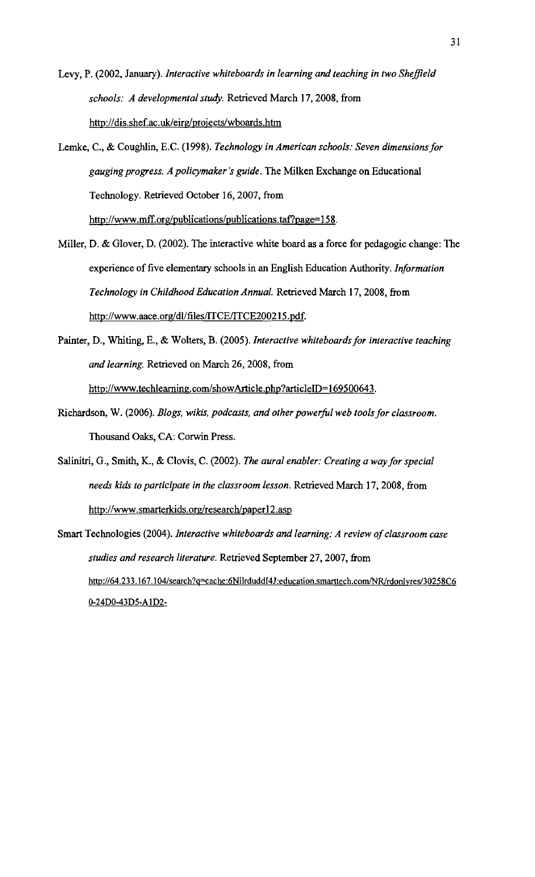- Levy, P. (2002, January). *Interactive whiteboards in learning and teaching in two Sheffield schools: A developmental study.* Retrieved March 17,2008, from http://dis.shef.ac.uk/eirg/projects/wboards.htm
- Lemke, C., & Coughlin, E.C. (1998). *Technology in American schools: Seven dimensions for gauging progress. A policymaker 's guide.* The Milken Exchange on Educational Technology. Retrieved October 16, 2007, from http://www.mff.org/publications/publications.taf?page=158.
- Miller, D. & Glover, D. (2002). The interactive white board as a force for pedagogic change: The experience of five elementary schools in an English Education Authority. *Information Technology in Childhood Education Annual.* Retrieved March 17, 2008, from http://www.aace.org/dl/files/lTCE/ITCE200215.pdf.
- Painter, D., Whiting, E., & Wolters, B. (2005). *Interactive whiteboards for interactive teaching and learning.* Retrieved on March 26, 2008, from http://www.techleaming.com/showArticle.php?articleID=169500643.
- Richardson, W. (2006). *Blogs, wikis, podcasts, and other powerful web tools for classroom.* Thousand Oaks, CA: Corwin Press.
- Salinitri, G., Smith, K., & Clovis, C. (2002). *The aural enabler: Creating a way for special needs ldds to participate in the classroom lesson.* Retrieved March 17,2008, from http://www.smarterkids.org/research/paper12.asp
- Smart Technologies (2004). *Interactive whiteboards and learning: A review of classroom case studies and research literature.* Retrieved September 27,2007, from http://64.233.167.104/search?q=cache:6NilrduddI4J:education.smarttech.com/NR/rdonlyres/30258C6 0-24D0-43D5-A1D2-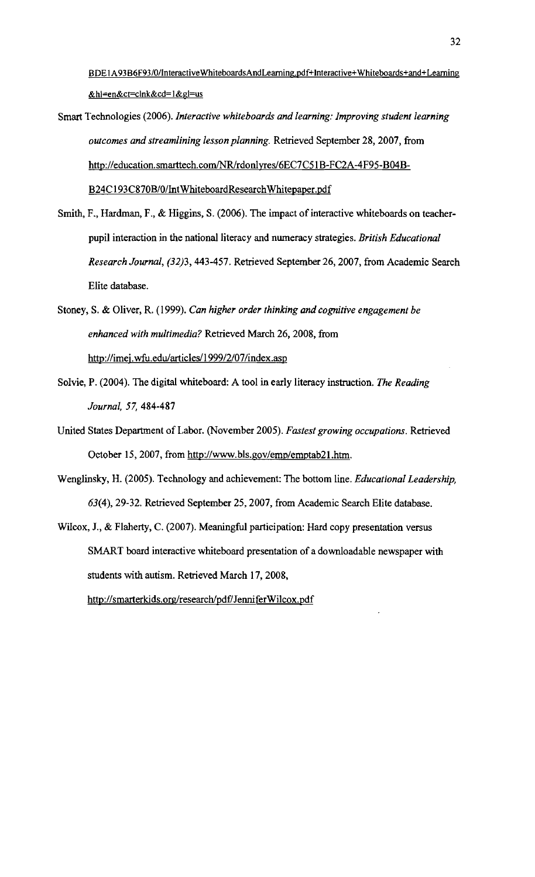BDE1A93 B6F93/0/InteractiveWhiteboardsAndLearning.pdf+Interactive+Whiteboards+and+Learning &hl=en&ct=clnk&cd=1&gl=us

- Smart Technologies (2006). *Interactive whiteboards and learning: Improving student learning outcomes and streamlining lesson planning.* Retrieved September 28, 2007, from http://education.smarttech.com/NR/rdonlyres/6EC7C51B-FC2A-4F95-B04B-B24C I93C870B/0/lntWhiteboardResearchWhitepaper.pdf
- Smith, F., Hardman, F., & Higgins, S. (2006). The impact of interactive whiteboards on teacherpupil interaction in the national literacy and numeracy strategies. *British Educational Research Journal,* (32)3, 443-457. Retrieved September 26,2007, from Academic Search Elite database.
- Stoney, S. & Oliver, R. (1999). *Can higher order thinking and cognitive engagement be enhanced with multimedia?* Retrieved March 26, 2008, from http://imej.wfu.edu/articles/1999/2/07/index.asp
- SoIvie, P. (2004). The digital whiteboard: A tool in early literacy instruction. *The Reading Journal,* 57, 484-487
- United States Department of Labor. (November 2005). *Fastest growing occupations.* Retrieved October 15, 2007, from http://www.bls.gov/emp/emptab21.htm.
- Wenglinsky, H. (2005). Technology and achievement: The bottom line. *Educational Leadership,*  63(4),29-32. Retrieved September 25, 2007, from Academic Search Elite database.
- Wilcox, J., & Flaherty, C. (2007). Meaningful participation: Hard copy presentation versus SMART board interactive whiteboard presentation of a downloadable newspaper with students with autism. Retrieved March 17, 2008, http://smarterkids.org/research/pdf/JenniferWilcox.pdf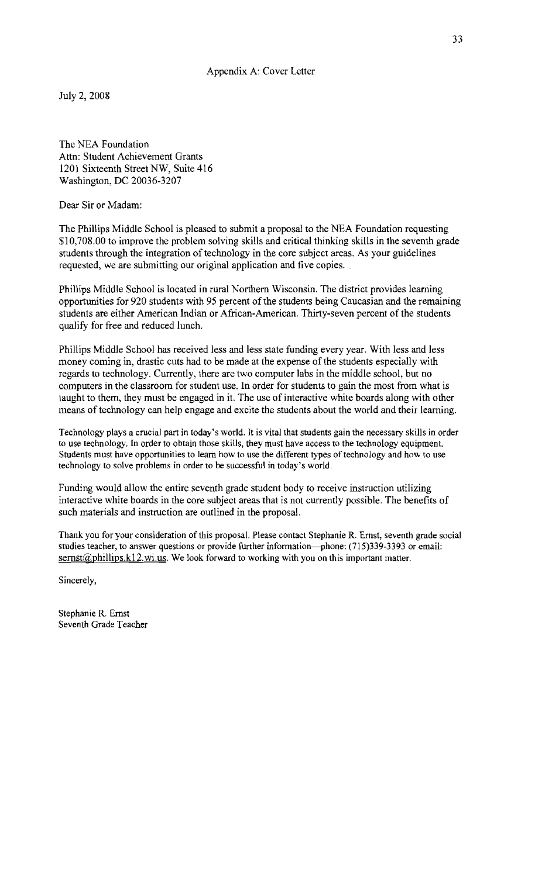July 2,2008

The NEA Foundation Attn: Student Achievement Grants 1201 Sixteenth Street NW, Suite 416 Washington, DC 20036-3207

Dear Sir or Madam:

The Phillips Middle School is pleased to submit a proposal to the NEA Foundation requesting \$10,708.00 to improve the problem solving skills and critical thinking skills in the seventh grade students through the integration of technology in the core subject areas. As your guidelines requested, we are submitting our original application and five copies..

Phillips Middle School is located in rural Northern Wisconsin. The district provides learning opportunities for 920 students with 95 percent of the students being Caucasian and the remaining students are either American Indian or African-American. Thirty-seven percent of the students qualify for free and reduced lunch.

Phillips Middle School has received less and less state funding every year. With less and less money coming in, drastic cuts had to be made at the expense of the students especially with regards to technology. Currently, there are two computer labs in the middle school, but no computers in the classroom for student use. In order for students to gain the most from what is taught to them, they must be engaged in it. The use of interactive white boards along with other means of technology can help engage and excite the students about the world and their learning.

Technology plays a crucial part in today's world. It is vital that students gain the necessary skills in order to use technology. In order to obtain those skills, they must have access to the technology equipment. Students must have opportunities to learn how to use the different types of technology and how to use technology to solve problems in order to be successful in today's world.

Funding would allow the entire seventh grade student body to receive instruction utilizing interactive white boards in the core subject areas that is not currently possible. The benefits of such materials and instruction are outlined in the proposal.

Thank you for your consideration of this proposal. Please contact Stephanie R. Ernst, seventh grade social studies teacher, to answer questions or provide further information-phone: (715)339-3393 or email:  $sernst@philips.k12.wi.us.$  We look forward to working with you on this important matter.

Sincerely,

Stephanie R. Ernst Seventh Grade Teacher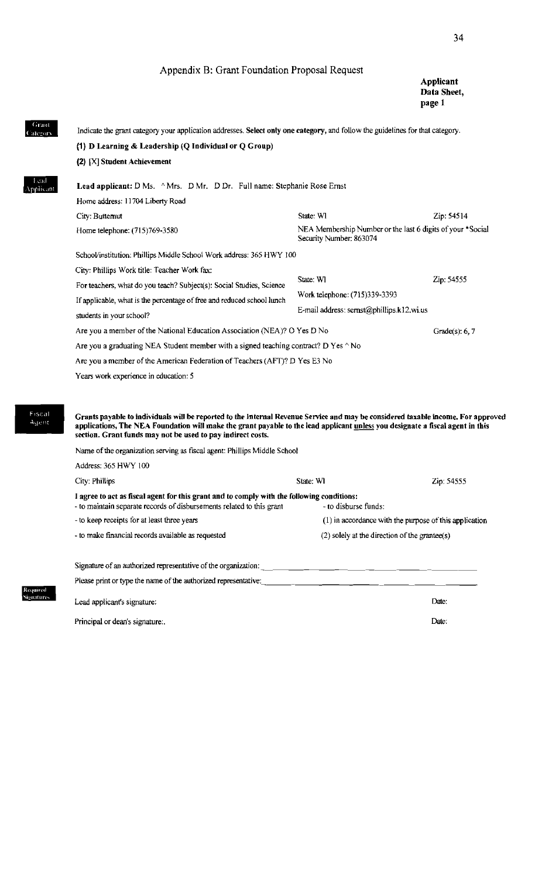#### Appendix B: Grant Foundation Proposal Request

34

# $\begin{tabular}{|c|c|} \hline \textbf{Grant} & \textbf{1} & \textbf{1} \\ \hline \textbf{Gaegory} & \textbf{1} & \textbf{1} \\ \hline \end{tabular}$  $\frac{1}{\sum}$ .. (1) D Learning & Leadership (Q Individual or Q Group)<br>(2) [X] Student Achievement<br>Lead applicant: D Ms. ^Mrs. D Mr. D Dr. Full name:<br>Home address: 11704 Liberty Road Fiscal<br>• Agent<br>• The Contract of Section S<br>Required<br>Signatures ignatu<br>ease <sub>]</sub><br>ead ap Indicate the grant category your application addresses. Select only one category, and follow the guidelines for that category. (2) [X] Student Achievement Lead applicant: D Ms. ^ Mrs. D Mr. D Dr. Full name: Stephanie Rose Ernst Home address: 11704 Liberty Road City: Butternut Zip: 54514 Home telephone: (715)769-3580 NEA Membership Number or the last 6 digits of your \*Social Security Number: 863074 SchooVinstitution: Phillips Middle School Work address: 365 HWY JOO City: Phillips Work title: Teacher Work fax: For teachers, what do you teach? Subject(s): Social Studies, Science State: WI Zip: 54555 If applicable, what is the percentage of free and reduced school lunch Work telephone: (715)339-3393 students in your school? E-mail address: sernst@phillips.k12.wi.us Are you a member of the National Education Association (NEA)? O Yes D No Grade(s): 6, 7 Are you a graduating NEA Student member with a signed teaching contract? D Yes  $\wedge$  No Are you a member of the American Federation of Teachers (AFT)? D Yes E3 No Years work experience in education: 5 Grants payable to individuals will be reported to the Internal Revenue Service and may be considered taxable income. For approved applications, The NEA Foundation will make the grant payable to the lead applicant unless you designate a fiscal agent in this section. Grant funds may not be used to pay indirect costs. Name of the organization serving as fiscal agent: Phillips Middle School Address: 365 HWY 100 City: Phillips **State: WI** State: WI State: WI State: WI State: WI State: WI State: WI State: State: State: State: State: State: State: State: State: State: State: State: State: State: State: State: State: State: State: St I agree to act as fiscal agent for this grant and to comply with the following conditions: - to maintain separate records of disbursements related to this grant - to disburse funds: - to keep receipts lor at least three years (I) in accordance with the purpose ofthis application - to make financial records available as requested (2) solely at the direction ofthe grnnree(s) Signature of an authorized representative of the organization:  $\overline{\phantom{a}}$  Please print or type the name of the authorized representative: Lead applicanfs signature: Date: Principal or dean's signature:. Date: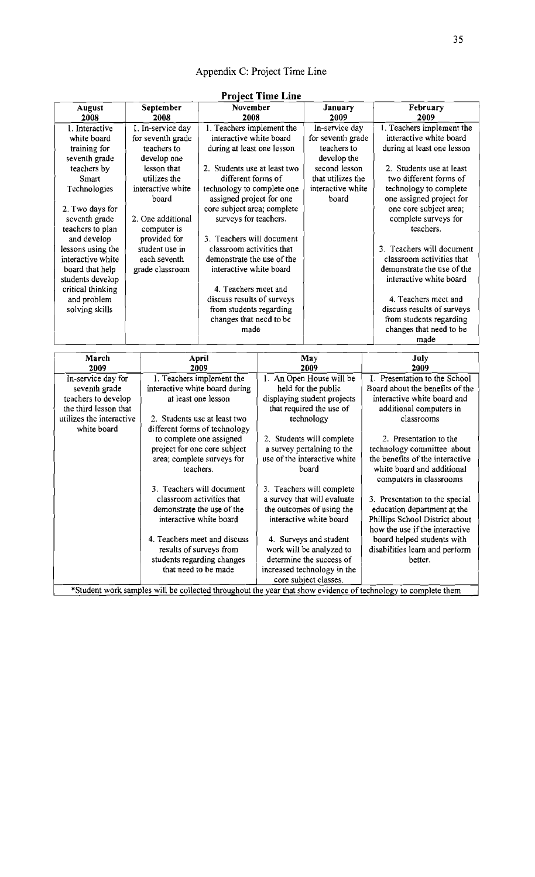# Appendix C: Project Time Line

| <b>August</b><br>2008    | September<br>2008  | November<br>2008               |                                                       | January<br>2009             | February<br>2009                |  |  |
|--------------------------|--------------------|--------------------------------|-------------------------------------------------------|-----------------------------|---------------------------------|--|--|
| 1. Interactive           | I. In-service day  | 1. Teachers implement the      |                                                       | In-service day              | 1. Teachers implement the       |  |  |
| white board              | for seventh grade  | interactive white board        |                                                       | for seventh grade           | interactive white board         |  |  |
| training for             | teachers to        | during at least one lesson     |                                                       | teachers to                 | during at least one lesson      |  |  |
| seventh grade            | develop one        |                                |                                                       | develop the                 |                                 |  |  |
|                          | lesson that        | 2. Students use at least two   |                                                       | second lesson               | 2. Students use at least        |  |  |
| teachers by              | utilizes the       | different forms of             |                                                       | that utilizes the           | two different forms of          |  |  |
| Smart                    |                    |                                |                                                       |                             |                                 |  |  |
| Technologies             | interactive white  | technology to complete one     |                                                       | interactive white           | technology to complete          |  |  |
|                          | board              | assigned project for one       |                                                       | board                       | one assigned project for        |  |  |
| 2. Two days for          |                    | core subject area; complete    |                                                       |                             | one core subject area;          |  |  |
| seventh grade            | 2. One additional  | surveys for teachers.          |                                                       |                             | complete surveys for            |  |  |
| teachers to plan         | computer is        |                                |                                                       |                             | teachers.                       |  |  |
| and develop              | provided for       | 3. Teachers will document      |                                                       |                             |                                 |  |  |
| lessons using the        | student use in     | classroom activities that      |                                                       |                             | 3. Teachers will document       |  |  |
| interactive white        | each seventh       | demonstrate the use of the     |                                                       |                             | classroom activities that       |  |  |
| board that help          | grade classroom    | interactive white board        |                                                       |                             | demonstrate the use of the      |  |  |
| students develop         |                    |                                |                                                       |                             | interactive white board         |  |  |
| critical thinking        |                    | 4. Teachers meet and           |                                                       |                             |                                 |  |  |
| and problem              |                    | discuss results of surveys     |                                                       |                             | 4. Teachers meet and            |  |  |
| solving skills           |                    | from students regarding        |                                                       |                             | discuss results of surveys      |  |  |
|                          |                    | changes that need to be        |                                                       |                             | from students regarding         |  |  |
|                          |                    | made                           |                                                       |                             | changes that need to be         |  |  |
|                          |                    |                                |                                                       |                             | made                            |  |  |
|                          |                    |                                |                                                       |                             |                                 |  |  |
| March                    |                    | April                          |                                                       | May                         | July                            |  |  |
| 2009                     |                    | 2009                           |                                                       | 2009                        | 2009                            |  |  |
|                          | In-service day for |                                | 1. Teachers implement the<br>1. An Open House will be |                             | I. Presentation to the School   |  |  |
| seventh grade            |                    | interactive white board during |                                                       | held for the public         | Board about the benefits of the |  |  |
| teachers to develop      |                    | at least one lesson            |                                                       | displaying student projects | interactive white board and     |  |  |
| the third lesson that    |                    |                                |                                                       | that required the use of    | additional computers in         |  |  |
| utilizes the interactive |                    | 2. Students use at least two   |                                                       | technology                  | classrooms                      |  |  |
| white board              |                    | different forms of technology  |                                                       |                             |                                 |  |  |
|                          |                    | to complete one assigned       |                                                       | 2. Students will complete   | 2. Presentation to the          |  |  |

#### Project Time Line

\*Student work samples will be collected throughout the year that show evidence of technology to complete them

3. Teachers will document <br>classroom activities that <br>a survey that will evaluate

a survey pertaining to the  $\int$  technology committee about

white board and additional computers in classrooms

3. Presentation to the special

Phillips School District about how the use if the interactive

area; complete surveys for use of the interactive white  $\left\{\n\begin{array}{c}\n\text{the benefits of the interactive bacteria} \\
\text{be a total and additional }\n\end{array}\n\right\}$ 

demonstrate the use of the the outcomes of using the education department at the interactive white board Phillips School District about

4. Teachers meet and discuss  $\begin{vmatrix} 4. &$  Surveys and student  $\end{vmatrix}$  board helped students with results of surveys from work will be analyzed to disabilities learn and perform udents regarding changes determine the success of better.

> increased technology in the core subiect classes.

project for one core subject

students regarding changes<br>that need to be made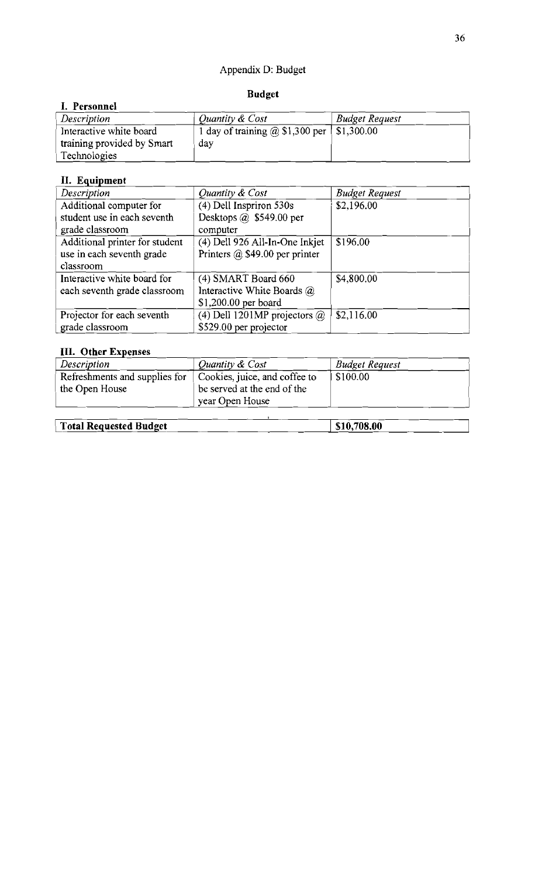# Appendix D: Budget

### **Budget**

## **I. Personnel**<br>*Description Description <u><i>Quantity & Cost*</u> Budget Request *Position Quantity & Cost* Interactive white board  $1$  day of training @ \$1,300 per  $\vert$  \$1,300.00 training provided by Smart  $\qquad$  day Technologies

# II. Equipment

| Description                    | Quantity & Cost                       | <b>Budget Request</b> |
|--------------------------------|---------------------------------------|-----------------------|
| Additional computer for        | (4) Dell Inspriron 530s               | \$2,196.00            |
| student use in each seventh    | Desktops $\omega$ \$549.00 per        |                       |
| grade classroom                | computer                              |                       |
| Additional printer for student | (4) Dell 926 All-In-One Inkjet        | \$196.00              |
| use in each seventh grade      | Printers $\omega$ \$49.00 per printer |                       |
| classroom                      |                                       |                       |
| Interactive white board for    | (4) SMART Board 660                   | \$4,800.00            |
| each seventh grade classroom   | Interactive White Boards @            |                       |
|                                | \$1,200.00 per board                  |                       |
| Projector for each seventh     | (4) Dell 1201MP projectors $\omega$   | \$2,116.00            |
| grade classroom                | \$529.00 per projector                |                       |

# **III.** Other Expenses

| Description                                     | Quantity & Cost                                                                 | <b>Budget Request</b> |  |
|-------------------------------------------------|---------------------------------------------------------------------------------|-----------------------|--|
| Refreshments and supplies for<br>the Open House | Cookies, juice, and coffee to<br>be served at the end of the<br>year Open House | \$100.00              |  |
| <b>Total Requested Budget</b>                   | \$10,708.00                                                                     |                       |  |

#### 36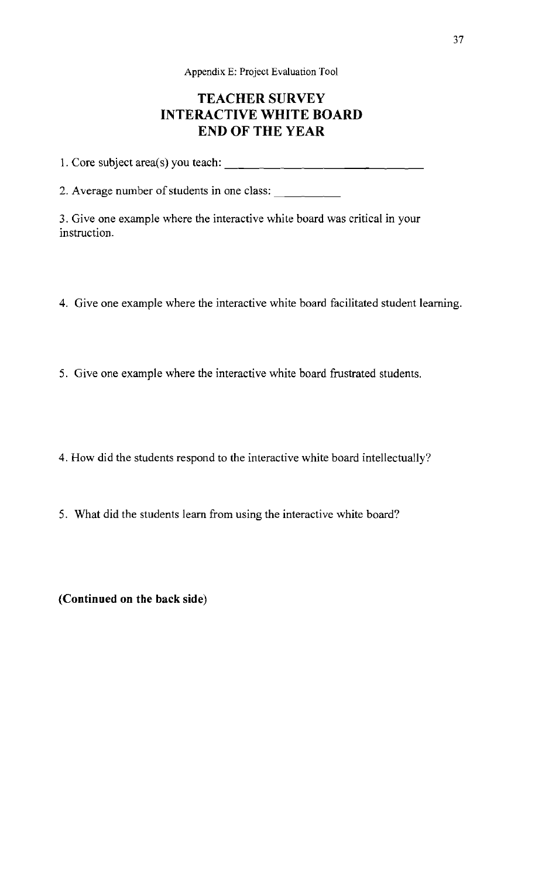Appendix E: Project Evaluation Tool

# TEACHER SURVEY **INTERACTIVE WHITE BOARD END OF THE YEAR**

1. Core subject area(s) you teach:  $\frac{1}{2}$ 

2. Average number of students in one class: \_

3. Give one example where the interactive white board was critical in your instruction.

- 4. Give one example where the interactive white board facilitated student learning.
- 5. Give one example where the interactive white board frustrated students.
- 4. How did the students respond to the interactive white board intellectually?
- 5. What did the students learn from using the interactive white board?

**(Continued on the back side)**